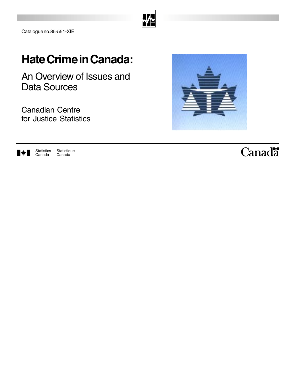|--|

Catalogue no. 85-551-XIE

## **Hate Crime in Canada:**

An Overview of Issues and Data Sources

Canadian Centre for Justice Statistics





## Canadä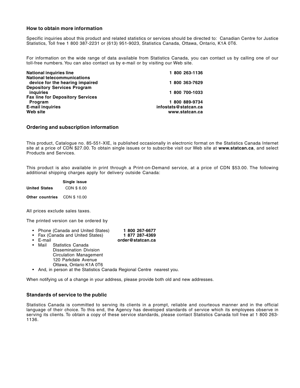#### **How to obtain more information**

Specific inquiries about this product and related statistics or services should be directed to: Canadian Centre for Justice Statistics, Toll free 1 800 387-2231 or (613) 951-9023, Statistics Canada, Ottawa, Ontario, K1A 0T6.

For information on the wide range of data available from Statistics Canada, you can contact us by calling one of our toll-free numbers. You can also contact us by e-mail or by visiting our Web site.

| <b>National inquiries line</b>          | 1 800 263-1136       |
|-----------------------------------------|----------------------|
| <b>National telecommunications</b>      |                      |
| device for the hearing impaired         | 1 800 363-7629       |
| <b>Depository Services Program</b>      |                      |
| <i>inguiries</i>                        | 1 800 700-1033       |
| <b>Fax line for Depository Services</b> |                      |
| Program                                 | 1 800 889-9734       |
| <b>E-mail inquiries</b>                 | infostats@statcan.ca |
| Web site                                | www.statcan.ca       |
|                                         |                      |

#### **Ordering and subscription information**

This product, Catalogue no. 85-551-XIE, is published occasionally in electronic format on the Statistics Canada Internet site at a price of CDN \$27.00. To obtain single issues or to subscribe visit our Web site at **www.statcan.ca**, and select Products and Services.

This product is also available in print through a Print-on-Demand service, at a price of CDN \$53.00. The following additional shipping charges apply for delivery outside Canada:

|                 | Single issue |  |
|-----------------|--------------|--|
| United States   | CDN \$6.00   |  |
| Other countries | CDN \$ 10.00 |  |

All prices exclude sales taxes.

The printed version can be ordered by

- Phone (Canada and United States) **1 800 267-6677**
	- E-mail **order@statcan.ca**
- Fax (Canada and United States)<br>• E-mail

• Mail Statistics Canada Dissemination Division Circulation Management 120 Parkdale Avenue Ottawa, Ontario K1A 0T6

• And, in person at the Statistics Canada Regional Centre nearest you.

When notifying us of a change in your address, please provide both old and new addresses.

#### **Standards of service to the public**

Statistics Canada is committed to serving its clients in a prompt, reliable and courteous manner and in the official language of their choice. To this end, the Agency has developed standards of service which its employees observe in serving its clients. To obtain a copy of these service standards, please contact Statistics Canada toll free at 1 800 263- 1136.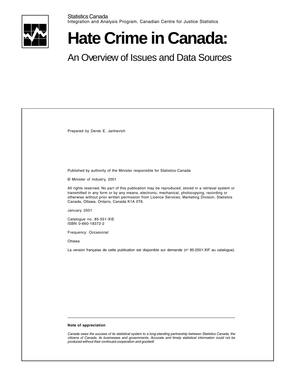

# **Hate Crime in Canada:**

## An Overview of Issues and Data Sources

| Prepared by Derek E. Janhevich                                                                                                                                                                                                                                                                                                                     |
|----------------------------------------------------------------------------------------------------------------------------------------------------------------------------------------------------------------------------------------------------------------------------------------------------------------------------------------------------|
|                                                                                                                                                                                                                                                                                                                                                    |
|                                                                                                                                                                                                                                                                                                                                                    |
|                                                                                                                                                                                                                                                                                                                                                    |
| Published by authority of the Minister responsible for Statistics Canada                                                                                                                                                                                                                                                                           |
| © Minister of Industry, 2001                                                                                                                                                                                                                                                                                                                       |
| All rights reserved. No part of this publication may be reproduced, stored in a retrieval system or<br>transmitted in any form or by any means, electronic, mechanical, photocopying, recording or<br>otherwise without prior written permission from Licence Services, Marketing Division, Statistics<br>Canada, Ottawa, Ontario, Canada K1A 0T6. |
| January 2001                                                                                                                                                                                                                                                                                                                                       |
| Catalogue no. 85-551-XIE<br>ISBN 0-660-18372-2                                                                                                                                                                                                                                                                                                     |
| Frequency: Occasional                                                                                                                                                                                                                                                                                                                              |
| Ottawa                                                                                                                                                                                                                                                                                                                                             |
| La version française de cette publication est disponible sur demande ( $n^{\circ}$ 85-2551-XIF au catalogue).                                                                                                                                                                                                                                      |
|                                                                                                                                                                                                                                                                                                                                                    |
|                                                                                                                                                                                                                                                                                                                                                    |
|                                                                                                                                                                                                                                                                                                                                                    |
|                                                                                                                                                                                                                                                                                                                                                    |
|                                                                                                                                                                                                                                                                                                                                                    |
|                                                                                                                                                                                                                                                                                                                                                    |
|                                                                                                                                                                                                                                                                                                                                                    |
|                                                                                                                                                                                                                                                                                                                                                    |
| Note of appreciation                                                                                                                                                                                                                                                                                                                               |
| Canada owes the success of its statistical system to a long-standing partnership between Statistics Canada, the<br>citizens of Canada, its businesses and governments. Accurate and timely statistical information could not be<br>produced without their continued cooperation and goodwill.                                                      |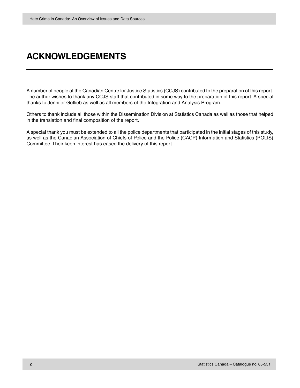## **ACKNOWLEDGEMENTS**

A number of people at the Canadian Centre for Justice Statistics (CCJS) contributed to the preparation of this report. The author wishes to thank any CCJS staff that contributed in some way to the preparation of this report. A special thanks to Jennifer Gotlieb as well as all members of the Integration and Analysis Program.

Others to thank include all those within the Dissemination Division at Statistics Canada as well as those that helped in the translation and final composition of the report.

A special thank you must be extended to all the police departments that participated in the initial stages of this study, as well as the Canadian Association of Chiefs of Police and the Police (CACP) Information and Statistics (POLIS) Committee. Their keen interest has eased the delivery of this report.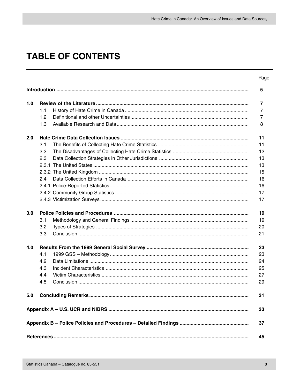## **TABLE OF CONTENTS**

|     |     |                            | Page                    |
|-----|-----|----------------------------|-------------------------|
|     |     |                            | 5                       |
| 1.0 |     |                            | $\overline{\mathbf{7}}$ |
|     | 1.1 |                            | 7                       |
|     | 1.2 |                            | 7                       |
|     | 1.3 |                            | 8                       |
| 2.0 |     |                            | 11                      |
|     | 2.1 |                            | 11                      |
|     | 2.2 |                            | 12                      |
|     | 2.3 |                            | 13                      |
|     |     |                            | 13                      |
|     |     |                            | 15                      |
|     | 2.4 |                            | 16                      |
|     |     |                            | 16                      |
|     |     |                            | 17                      |
|     |     |                            | 17                      |
| 3.0 |     |                            | 19                      |
|     | 3.1 |                            | 19                      |
|     | 3.2 |                            | 20                      |
|     | 3.3 |                            | 21                      |
| 4.0 |     |                            | 23                      |
|     | 4.1 |                            | 23                      |
|     | 4.2 |                            | 24                      |
|     | 4.3 |                            | 25                      |
|     | 4.4 |                            | 27                      |
|     | 4.5 |                            | 29                      |
| 5.0 |     | <b>Concluding Remarks.</b> | 31                      |
|     |     |                            | 33                      |
|     |     |                            | 37                      |
|     |     |                            | 45                      |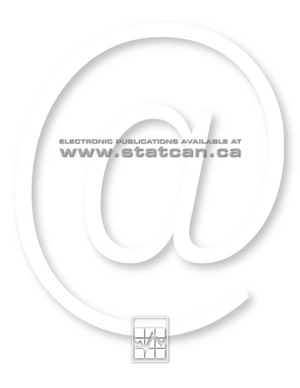

## ELECTRONIC PUBLICATIONS AVAILABLE AT www.statcan.ca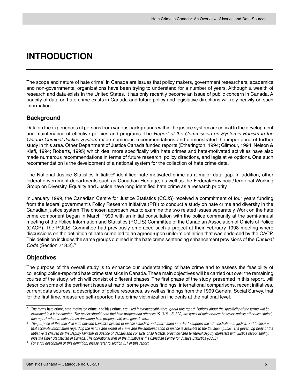## <span id="page-6-0"></span>**INTRODUCTION**

The scope and nature of hate crime<sup>1</sup> in Canada are issues that policy makers, government researchers, academics and non-governmental organizations have been trying to understand for a number of years. Although a wealth of research and data exists in the United States, it has only recently become an issue of public concern in Canada. A paucity of data on hate crime exists in Canada and future policy and legislative directions will rely heavily on such information.

#### **Background**

Data on the experiences of persons from various backgrounds within the justice system are critical to the development and maintenance of effective policies and programs. The Report of the Commission on Systemic Racism in the Ontario Criminal Justice System made numerous recommendations and demonstrated the importance of further study in this area. Other Department of Justice Canada funded reports (Etherington, 1994; Gilmour, 1994; Nelson & Kiefl, 1994; Roberts, 1995) which deal more specifically with hate crimes and hate-motivated activities have also made numerous recommendations in terms of future research, policy directions, and legislative options. One such recommendation is the development of a national system for the collection of hate crime data.

The National Justice Statistics Initiative<sup>2</sup> identified hate-motivated crime as a major data gap. In addition, other federal government departments such as Canadian Heritage, as well as the Federal/Provincial/Territorial Working Group on Diversity, Equality and Justice have long identified hate crime as a research priority.

In January 1999, the Canadian Centre for Justice Statistics (CCJS) received a commitment of four years funding from the federal government's Policy Research Initiative (PRI) to conduct a study on hate crime and diversity in the Canadian justice system. The chosen approach was to examine the two related issues separately. Work on the hate crime component began in March 1999 with an initial consultation with the police community at the semi-annual meeting of the Police Information and Statistics (POLIS) Committee of the Canadian Association of Chiefs of Police (CACP). The POLIS Committee had previously embraced such a project at their February 1998 meeting where discussions on the definition of hate crime led to an agreed-upon uniform definition that was endorsed by the CACP. This definition includes the same groups outlined in the hate crime sentencing enhancement provisions of the Criminal Code (Section 718.2).3

#### **Objectives**

The purpose of the overall study is to enhance our understanding of hate crime and to assess the feasibility of collecting police-reported hate crime statistics in Canada. These main objectives will be carried out over the remaining course of the study, which will consist of different phases. The first phase of the study, presented in this report, will describe some of the pertinent issues at hand, some previous findings, international comparisons, recent initiatives, current data sources, a description of police resources, as well as findings from the 1999 General Social Survey, that for the first time, measured self-reported hate crime victimization incidents at the national level.

 $1$  The terms hate crime, hate-motivated crime, and bias crime, are used interchangeably throughout this report. Notions about the specificity of the terms will be examined in a later chapter. The reader should note that hate propaganda offences (S. 318 – S. 320) are types of hate crimes; however, unless otherwise stated, this report refers to hate crimes (including hate propaganda) as a generic term.

<sup>&</sup>lt;sup>2</sup> The purpose of this Initiative is to develop Canada's system of justice statistics and information in order to support the administration of justice, and to ensure that accurate information regarding the nature and extent of crime and the administration of justice is available to the Canadian public. The governing body of the Initiative is chaired by the Deputy Minister of Justice of Canada and consists of all federal, provincial and territorial Deputy Ministers with justice responsibility, plus the Chief Statistician of Canada. The operational arm of the Initiative is the Canadian Centre for Justice Statistics (CCJS).

 $3$  For a full description of this definition, please refer to section 3.1 of this report.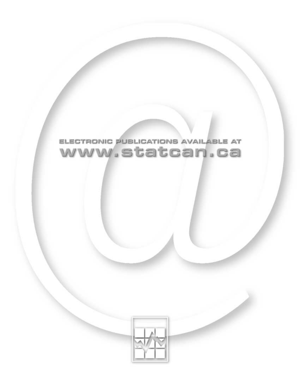

## ELECTRONIC PUBLICATIONS AVAILABLE AT www.statcan.ca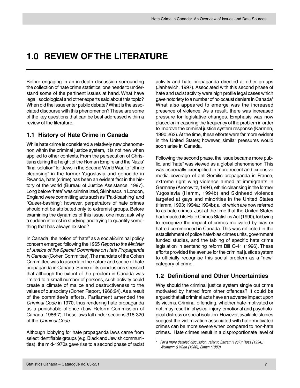## <span id="page-8-0"></span>**1.0 REVIEW OF THE LITERATURE**

Before engaging in an in-depth discussion surrounding the collection of hate crime statistics, one needs to understand some of the pertinent issues at hand. What have legal, sociological and other experts said about this topic? When did the issue enter public debate? What is the associated discourse with this phenomenon? These are some of the key questions that can be best addressed within a review of the literature.

#### **1.1 History of Hate Crime in Canada**

While hate crime is considered a relatively new phenomenon within the criminal justice system, it is not new when applied to other contexts. From the persecution of Christians during the height of the Roman Empire and the Nazis' "final solution" for Jews in the Second World War, to "ethnic cleansing" in the former Yugoslavia and genocide in Rwanda, hate (crime) has been an evident fact in the history of the world (Bureau of Justice Assistance, 1997). Long before "hate" was criminalized, Skinheads in London, England were committing acts such as "Paki-bashing" and "Queer-bashing"; however, perpetrators of hate crimes should not be attributed only to extremist groups. Before examining the dynamics of this issue, one must ask why a sudden interest in studying and trying to quantify something that has always existed?

In Canada, the notion of "hate" as a social/criminal policy concern emerged following the 1965 Report to the Minister of Justice of the Special Committee on Hate Propaganda in Canada (Cohen Committee). The mandate of the Cohen Committee was to ascertain the nature and scope of hate propaganda in Canada. Some of its conclusions stressed that although the extent of the problem in Canada was limited to a small number of persons, such activity could create a climate of malice and destructiveness to the values of our society (Cohen Report, 1966:24). As a result of the committee's efforts, Parliament amended the Criminal Code in 1970, thus rendering hate propaganda as a punishable offence (Law Reform Commission of Canada, 1986:7). These laws fall under sections 318-320 of the Criminal Code.

Although lobbying for hate propaganda laws came from select identifiable groups (e.g. Black and Jewish communities), the mid-1970s gave rise to a second phase of racist activity and hate propaganda directed at other groups (Janhevich, 1997). Associated with this second phase of hate and racist activity were high profile legal cases which gave notoriety to a number of holocaust deniers in Canada<sup>4</sup> What also appeared to emerge was the increased presence of violence. As a result, there was increased pressure for legislative changes. Emphasis was now placed on measuring the frequency of the problem in order to improve the criminal justice system response (Karmen, 1990:262). At the time, these efforts were far more evident in the United States; however, similar pressures would soon arise in Canada.

Following the second phase, the issue became more public, and "hate" was viewed as a global phenomenon. This was especially exemplified in more recent and extensive media coverage of anti-Semitic propaganda in France, extreme right wing violence aimed at immigrants in Germany (Aronowitz, 1994), ethnic cleansing in the former Yugoslavia (Hamm, 1994b) and Skinhead violence targeted at gays and minorities in the United States (Hamm, 1993; 1994a; 1994b); all of which are now referred to as hate crimes. Just at the time that the United States had enacted its Hate Crimes Statistics Act (1990), lobbying to recognize the impact of crimes motivated by bias or hatred commenced in Canada. This was reflected in the establishment of police hate/bias crimes units, government funded studies, and the tabling of specific hate crime legislation in sentencing reform Bill C-41 (1996). These efforts provided the avenue for the criminal justice system to officially recognise this social problem as a "new" category of crime.

#### **1.2 Definitional and Other Uncertainties**

Why should the criminal justice system single out crime motivated by hatred from other offences? It could be argued that all criminal acts have an adverse impact upon its victims. Criminal offending, whether hate-motivated or not, may result in physical injury, emotional and psychological distress or social isolation. However, available studies suggest the victimization associated with hate-motivated crimes can be more severe when compared to non-hate crimes. Hate crimes result in a disproportionate level of

<sup>4</sup> For a more detailed discussion, refer to Barrett (1987); Ross (1994); Weimann & Winn (1986); Elman (1989).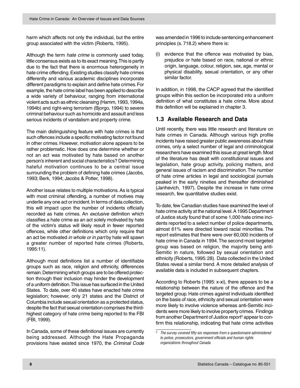<span id="page-9-0"></span>harm which affects not only the individual, but the entire group associated with the victim (Roberts, 1995).

Although the term *hate crime* is commonly used today, little consensus exists as to its exact meaning. This is partly due to the fact that there is enormous heterogeneity in hate crime offending. Existing studies classify hate crimes differently and various academic disciplines incorporate different paradigms to explain and define hate crimes. For example, the hate crime label has been applied to describe a wide variety of behaviour, ranging from international violent acts such as ethnic cleansing (Hamm, 1993, 1994a, 1994b) and right-wing terrorism (Bjorgo, 1994) to severe criminal behaviour such as homicide and assault and less serious incidents of vandalism and property crime.

The main distinguishing feature with hate crimes is that such offences include a specific motivating factor not found in other crimes. However, motivation alone appears to be rather problematic. How does one determine whether or not an act was motivated by hate based on another person's inherent and social characteristics? Determining hateful motivation continues to be a central issue surrounding the problem of defining hate crimes (Jacobs, 1993; Berk, 1994; Jacobs & Potter, 1998).

Another issue relates to multiple motivations. As is typical with most criminal offending, a number of motives may underlie any one act or incident. In terms of data collection, this will impact upon the number of incidents officially recorded as hate crimes. An exclusive definition which classifies a hate crime as an act solely motivated by hate of the victim's status will likely result in fewer reported offences, while other definitions which only require that an act be motivated in whole or in part by hate will spawn a greater number of reported hate crimes (Roberts, 1995:11).

Although most definitions list a number of identifiable groups such as race, religion and ethnicity, differences remain. Determining which groups are to be offered protection through their inclusion may hinder the development of a uniform definition. This issue has surfaced in the United States. To date, over 40 states have enacted hate crime legislation; however, only 21 states and the District of Columbia include sexual orientation as a protected status, despite the fact that sexual orientation comprises the thirdhighest category of hate crime being reported to the FBI (FBI, 1999).

In Canada, some of these definitional issues are currently being addressed. Although the Hate Propaganda provisions have existed since 1970, the Criminal Code was amended in 1996 to include sentencing enhancement principles (s. 718.2) where there is:

(i) evidence that the offence was motivated by bias, prejudice or hate based on race, national or ethnic origin, language, colour, religion, sex, age, mental or physical disability, sexual orientation, or any other similar factor.

In addition, in 1998, the CACP agreed that the identified groups within this section be incorporated into a uniform definition of what constitutes a hate crime. More about this definition will be explained in chapter 3.

#### **1.3 Available Research and Data**

Until recently, there was little research and literature on hate crimes in Canada. Although various high profile incidents have raised greater public awareness about hate crimes, only a select number of legal and criminological researchers have examined this issue at great length. Most of the literature has dealt with constitutional issues and legislation, hate group activity, policing matters, and general issues of racism and discrimination. The number of hate crime articles in legal and sociological journals peaked in the early nineties and thereafter diminished (Janhevich, 1997). Despite the increase in hate crime research, few quantitative studies exist.

To date, few Canadian studies have examined the level of hate crime activity at the national level. A 1995 Department of Justice study found that of some 1,000 hate crime incidents reported to a select number of police departments, almost 61% were directed toward racial minorities. The report estimates that there were over 60,000 incidents of hate crime in Canada in 1994. The second most targeted group was based on religion, the majority being anti-Semitic in nature, followed by sexual orientation and ethnicity (Roberts, 1995: 28). Data collected in the United States reveal a similar trend. A more detailed analysis of available data is included in subsequent chapters.

According to Roberts (1995: x-xi), there appears to be a relationship between the nature of the offence and the targeted group. Hate crimes against individuals identified on the basis of race, ethnicity and sexual orientation were more likely to involve violence whereas anti-Semitic incidents were more likely to involve property crimes. Findings from another Department of Justice report<sup>5</sup> appear to confirm this relationship, indicating that hate crime activities

 $5$  The survey covered fifty-six responses from a questionnaire administered to police, prosecutors, government officials and human rights organizations throughout Canada.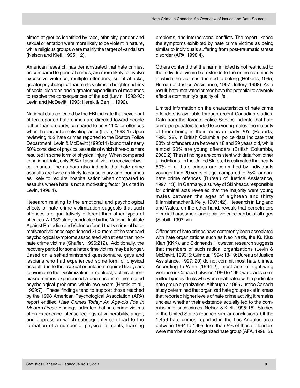aimed at groups identified by race, ethnicity, gender and sexual orientation were more likely to be violent in nature, while religious groups were mainly the target of vandalism (Nelson and Kiefl, 1995: 12).

American research has demonstrated that hate crimes, as compared to general crimes, are more likely to involve excessive violence, multiple offenders, serial attacks, greater psychological trauma to victims, a heightened risk of social disorder, and a greater expenditure of resources to resolve the consequences of the act (Levin, 1992-93; Levin and McDevitt, 1993; Herek & Berrill, 1992).

National data collected by the FBI indicate that seven out of ten reported hate crimes are directed toward people rather than property, compared to only 11% for offences where hate is not a motivating factor (Levin, 1998: 1). Upon reviewing 452 hate crimes reported to the Boston Police Department, Levin & McDevitt (1993:11) found that nearly 50% consisted of physical assaults of which three-quarters resulted in some form of physical injury. When compared to national data, only 29% of assault victims receive physical injuries. The authors also indicate that hate crime assaults are twice as likely to cause injury and four times as likely to require hospitalisation when compared to assaults where hate is not a motivating factor (as cited in Levin, 1998:1).

Research relating to the emotional and psychological effects of hate crime victimization suggests that such offences are qualitatively different than other types of offences. A 1989 study conducted by the National Institute Against Prejudice and Violence found that victims of hatemotivated violence experienced 21% more of the standard psychological symptoms associated with stress than nonhate crime victims (Shaffer, 1996:212). Additionally, the recovery period for some hate crime victims may be longer. Based on a self-administered questionnaire, gays and lesbians who had experienced some form of physical assault due to their sexual orientation required five years to overcome their victimization. In contrast, victims of nonbiased crimes experienced a decrease in crime-related psychological problems within two years (Herek et al., 1999:7). These findings tend to support those reached by the 1998 American Psychological Association (APA) report entitled Hate Crimes Today: An Age-old Foe In Modern Dress. Findings indicated that hate crime victims often experience intense feelings of vulnerability, anger, and depression which subsequently can lead to the formation of a number of physical ailments, learning

problems, and interpersonal conflicts. The report likened the symptoms exhibited by hate crime victims as being similar to individuals suffering from post-traumatic stress disorder (APA, 1998:4).

Others contend that the harm inflicted is not restricted to the individual victim but extends to the entire community in which the victim is deemed to belong (Roberts, 1995; Bureau of Justice Assistance, 1997; Jeffery, 1998). As a result, hate-motivated crimes have the potential to severely affect a community's quality of life.

Limited information on the characteristics of hate crime offenders is available through recent Canadian studies. Data from the Toronto Police Service indicate that hate crime perpetrators tended to be young males, the majority of them being in their teens or early 20's (Roberts, 1995: 22). In British Columbia, police data indicate that 60% of offenders are between 18 and 29 years old, while almost 20% are young offenders (British Columbia, 2000:2). These findings are consistent with data from other jurisdictions. In the United States, it is estimated that nearly 50% of all hate crimes are committed by individuals younger than 20 years of age, compared to 25% for nonhate crime offences (Bureau of Justice Assistance, 1997: 13). In Germany, a survey of Skinheads responsible for criminal acts revealed that the majority were young males between the ages of eighteen and thirty (Harnishmacher & Kelly, 1997: 42). Research in England and Wales, on the other hand, reveals that perpetrators of racial harassment and racial violence can be of all ages (Sibbitt, 1997: vii).

Offenders of hate crimes have commonly been associated with hate organizations such as Neo Nazis, the Ku Klux Klan (KKK), and Skinheads. However, research suggests that members of such radical organizations (Levin & McDevitt, 1993: 5; Gilmour, 1994: 18-19; Bureau of Justice Assistance, 1997: 20) do not commit most hate crimes. According to Winn (1994:2), most acts of right-wing violence in Canada between 1960 to 1990 were acts committed by individuals who were unaffiliated with a particular hate group organization. Although a 1995 Justice Canada study determined that organized hate groups exist in areas that reported higher levels of hate crime activity, it remains unclear whether their existence actually led to the commission of such crimes (Nelson & Kiefl, 1995: 15). Studies in the United States reached similar conclusions. Of the 1,459 hate crimes reported in the Los Angeles area between 1994 to 1995, less than 5% of these offenders were members of an organized hate group (APA, 1998: 2).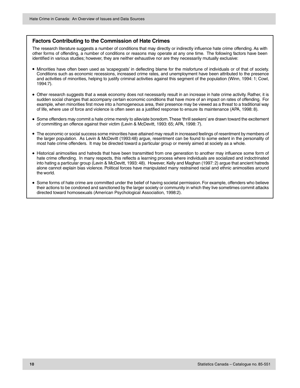#### **Factors Contributing to the Commission of Hate Crimes**

The research literature suggests a number of conditions that may directly or indirectly influence hate crime offending. As with other forms of offending, a number of conditions or reasons may operate at any one time. The following factors have been identified in various studies; however, they are neither exhaustive nor are they necessarily mutually exclusive:

- Minorities have often been used as 'scapegoats' in deflecting blame for the misfortune of individuals or of that of society. Conditions such as economic recessions, increased crime rates, and unemployment have been attributed to the presence and activities of minorities, helping to justify criminal activities against this segment of the population (Winn, 1994: 1; Cowl, 1994:7).
- Other research suggests that a weak economy does not necessarily result in an increase in hate crime activity. Rather, it is sudden social changes that accompany certain economic conditions that have more of an impact on rates of offending. For example, when minorities first move into a homogeneous area, their presence may be viewed as a threat to a traditional way of life, where use of force and violence is often seen as a justified response to ensure its maintenance (APA, 1998: 8).
- Some offenders may commit a hate crime merely to alleviate boredom. These 'thrill seekers' are drawn toward the excitement of committing an offence against their victim (Levin & McDevitt, 1993: 65; APA, 1998: 7).
- The economic or social success some minorities have attained may result in increased feelings of resentment by members of the larger population. As Levin & McDevitt (1993:48) argue, resentment can be found to some extent in the personality of most hate crime offenders. It may be directed toward a particular group or merely aimed at society as a whole.
- Historical animosities and hatreds that have been transmitted from one generation to another may influence some form of hate crime offending. In many respects, this reflects a learning process where individuals are socialized and indoctrinated into hating a particular group (Levin & McDevitt, 1993: 48). However, Kelly and Maghan (1997: 2) argue that ancient hatreds alone cannot explain bias violence. Political forces have manipulated many restrained racial and ethnic animosities around the world.
- Some forms of hate crime are committed under the belief of having societal permission. For example, offenders who believe their actions to be condoned and sanctioned by the larger society or community in which they live sometimes commit attacks directed toward homosexuals (American Psychological Association, 1998:2).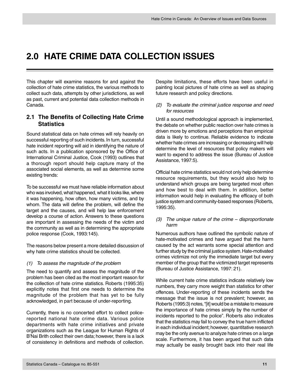## <span id="page-12-0"></span>**2.0 HATE CRIME DATA COLLECTION ISSUES**

This chapter will examine reasons for and against the collection of hate crime statistics, the various methods to collect such data, attempts by other jurisdictions, as well as past, current and potential data collection methods in Canada.

#### **2.1 The Benefits of Collecting Hate Crime Statistics**

Sound statistical data on hate crimes will rely heavily on successful reporting of such incidents. In turn, successful hate incident reporting will aid in identifying the nature of such acts. In a publication sponsored by the Office of International Criminal Justice, Cook (1993) outlines that a thorough report should help capture many of the associated social elements, as well as determine some existing trends:

To be successful we must have reliable information about who was involved, what happened, what it looks like, where it was happening, how often, how many victims, and by whom. The data will define the problem, will define the target and the causes, and will help law enforcement develop a course of action. Answers to these questions are important in assessing the needs of the victim and the community as well as in determining the appropriate police response (Cook, 1993:145).

The reasons below present a more detailed discussion of why hate crime statistics should be collected.

#### (1) To assess the magnitude of the problem

The need to quantify and assess the magnitude of the problem has been cited as the most important reason for the collection of hate crime statistics. Roberts (1995:35) explicitly notes that first one needs to determine the magnitude of the problem that has yet to be fully acknowledged, in part because of under-reporting.

Currently, there is no concerted effort to collect policereported national hate crime data. Various police departments with hate crime initiatives and private organizations such as the League for Human Rights of B'Nai Brith collect their own data; however, there is a lack of consistency in definitions and methods of collection.

Despite limitations, these efforts have been useful in painting local pictures of hate crime as well as shaping future research and policy directions.

#### (2) To evaluate the criminal justice response and need for resources

Until a sound methodological approach is implemented, the debate on whether public reaction over hate crimes is driven more by emotions and perceptions than empirical data is likely to continue. Reliable evidence to indicate whether hate crimes are increasing or decreasing will help determine the level of resources that policy makers will want to expend to address the issue (Bureau of Justice Assistance, 1997:5).

Official hate crime statistics would not only help determine resource requirements, but they would also help to understand which groups are being targeted most often and how best to deal with them. In addition, better information would help in evaluating the efficacy of both justice system and community-based responses (Roberts, 1995:35).

#### (3) The unique nature of the crime – disproportionate harm

Numerous authors have outlined the symbolic nature of hate-motivated crimes and have argued that the harm caused by the act warrants some special attention and further study by the criminal justice system. Hate-motivated crimes victimize not only the immediate target but every member of the group that the victimized target represents (Bureau of Justice Assistance, 1997: 21).

While current hate crime statistics indicate relatively low numbers, they carry more weight than statistics for other offences. Under-reporting of these incidents sends the message that the issue is not prevalent; however, as Roberts (1995:3) notes, "[it] would be a mistake to measure the importance of hate crimes simply by the number of incidents reported to the police". Roberts also indicates that the statistics may fail to convey the true harm inflicted in each individual incident; however, quantitative research may be the only avenue to analyze hate crimes on a large scale. Furthermore, it has been argued that such data may actually be easily brought back into their real life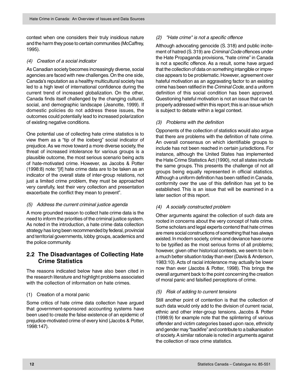<span id="page-13-0"></span>context when one considers their truly insidious nature and the harm they pose to certain communities (McCaffrey, 1995).

#### (4) Creation of a social indicator

As Canadian society becomes increasingly diverse, social agencies are faced with new challenges. On the one side, Canada's reputation as a healthy multicultural society has led to a high level of international confidence during the current trend of increased globalization. On the other, Canada finds itself challenged by the changing cultural, social, and demographic landscape (Jeanotte, 1999). If domestic policies do not address these issues, the outcomes could potentially lead to increased polarization of existing negative conditions.

One potential use of collecting hate crime statistics is to view them as a "tip of the iceberg" social indicator of prejudice. As we move toward a more diverse society, the threat of increased intolerance for various groups is a plausible outcome, the most serious scenario being acts of hate-motivated crime. However, as Jacobs & Potter (1998:8) note: "[if] hate crime data are to be taken as an indicator of the overall state of inter-group relations, not just a limited crime problem, they must be approached very carefully, lest their very collection and presentation exacerbate the conflict they mean to prevent".

#### (5) Address the current criminal justice agenda

A more grounded reason to collect hate crime data is the need to inform the priorities of the criminal justice system. As noted in the introduction, a hate crime data collection strategy has long been recommended by federal, provincial and territorial governments, lobby groups, academics and the police community.

#### **2.2 The Disadvantages of Collecting Hate Crime Statistics**

The reasons indicated below have also been cited in the research literature and highlight problems associated with the collection of information on hate crimes.

#### (1) Creation of a moral panic

Some critics of hate crime data collection have argued that government-sponsored accounting systems have been used to create the false existence of an epidemic of prejudice-motivated crime of every kind (Jacobs & Potter, 1998:147).

#### (2) "Hate crime" is not a specific offence

Although advocating genocide (S. 318) and public incitement of hatred (S. 319) are Criminal Code offences under the Hate Propaganda provisions, "hate crime" in Canada is not a specific offence. As a result, some have argued that the collection of data on something intangible or imprecise appears to be problematic. However, agreement over hateful motivation as an aggravating factor to an existing crime has been ratified in the Criminal Code, and a uniform definition of this social condition has been approved. Questioning hateful motivation is not an issue that can be properly addressed within this report; this is an issue which is subject to debate within a legal context.

#### (3) Problems with the definition

Opponents of the collection of statistics would also argue that there are problems with the definition of hate crime. An overall consensus on which identifiable groups to include has not been reached in certain jurisdictions. For instance, although the United States has implemented the Hate Crime Statistics Act (1990), not all states include the same groups. This presents the challenge of not all groups being equally represented in official statistics. Although a uniform definition has been ratified in Canada, conformity over the use of this definition has yet to be established. This is an issue that will be examined in a later section of this report.

#### (4) A socially constructed problem

Other arguments against the collection of such data are rooted in concerns about the very concept of hate crime. Some scholars and legal experts contend that hate crimes are mere social constructions of something that has always existed. In modern society, crime and deviance have come to be typified as the most serious forms of all problems; however, given other historical contexts, we seem to be in a much better situation today than ever (Davis & Anderson, 1983:10). Acts of racial intolerance may actually be lower now than ever (Jacobs & Potter, 1998). This brings the overall argument back to the point concerning the creation of moral panic and falsified perceptions of crime.

#### (5) Risk of adding to current tensions

Still another point of contention is that the collection of such data would only add to the division of current racial, ethnic and other inter-group tensions. Jacobs & Potter (1998:9) for example note that the splintering of various offender and victim categories based upon race, ethnicity and gender may "backfire" and contribute to a balkanisation of society. A similar rationale is noted in arguments against the collection of race crime statistics.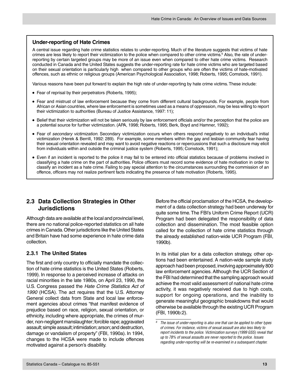#### <span id="page-14-0"></span>**Under-reporting of Hate Crimes**

A central issue regarding hate crime statistics relates to under-reporting. Much of the literature suggests that victims of hate crimes are less likely to report their victimization to the police when compared to other crime victims.<sup>6</sup> Also, the rate of underreporting by certain targeted groups may be more of an issue even when compared to other hate crime victims. Research conducted in Canada and the United States suggests the under-reporting rate for hate crime victims who are targeted based on their sexual orientation is particularly high when compared to other groups who are often the victims of hate-motivated offences, such as ethnic or religious groups (American Psychological Association, 1998; Roberts, 1995; Comstock, 1991).

Various reasons have been put forward to explain the high rate of under-reporting by hate crime victims. These include:

- Fear of reprisal by their perpetrators (Roberts, 1995);
- Fear and mistrust of law enforcement because they come from different cultural backgrounds. For example, people from African or Asian countries, where law enforcement is sometimes used as a means of oppression, may be less willing to report their victimization to authorities (Bureau of Justice Assistance, 1997: 11);
- Belief that their victimization will not be taken seriously by law enforcement officials and/or the perception that the police are a potential source for further victimization. (APA, 1998; Roberts, 1995; Berk, Boyd and Hamner, 1992);
- Fear of secondary victimization. Secondary victimization occurs when others respond negatively to an individual's initial victimization (Herek & Berrill, 1992: 289). For example, some members within the gay and lesbian community fear having their sexual orientation revealed and may want to avoid negative reactions or repercussions that such a disclosure may elicit from individuals within and outside the criminal justice system (Roberts, 1995; Comstock, 1991);
- Even if an incident is reported to the police it may fail to be entered into official statistics because of problems involved in classifying a hate crime on the part of authorities. Police officers must record some evidence of hate motivation in order to classify an incident as a hate crime. Failing to pay special attention to the circumstances surrounding the commission of an offence, officers may not realize pertinent facts indicating the presence of hate motivation (Roberts, 1995).

#### **2.3 Data Collection Strategies in Other Jurisdictions**

Although data are available at the local and provincial level, there are no national police-reported statistics on all hate crimes in Canada. Other jurisdictions like the United States and Britain have had some experience in hate crime data collection.

#### **2.3.1 The United States**

The first and only country to officially mandate the collection of hate crime statistics is the United States (Roberts, 1999). In response to a perceived increase of attacks on racial minorities in the late 1980s, on April 23, 1990, the U.S. Congress passed the Hate Crime Statistics Act of 1990 (HCSA). The act requires that the U.S. Attorney General collect data from State and local law enforcement agencies about crimes "that manifest evidence of prejudice based on race, religion, sexual orientation, or ethnicity, including where appropriate, the crimes of murder, non-negligent manslaughter; forcible rape; aggravated assault; simple assault; intimidation; arson; and destruction, damage or vandalism of property" (FBI, 1990a). In 1994, changes to the HCSA were made to include offences motivated against a person's disability.

Before the official proclamation of the HCSA, the development of a data collection strategy had been underway for quite some time. The FBI's Uniform Crime Report (UCR) Program had been delegated the responsibility of data collection and dissemination. The most feasible option called for the collection of hate crime statistics through the already established nation-wide UCR Program (FBI, 1990b).

In its initial plan for a data collection strategy, other options had been entertained. A nation-wide sample study approach had been proposed, involving approximately 800 law enforcement agencies. Although the UCR Section of the FBI had determined that the sampling approach would achieve the most valid assessment of national hate crime activity, it was negatively received due to high costs, support for ongoing operations, and the inability to generate meaningful geographic breakdowns that would otherwise be available through the existing UCR Program (FBI, 1990b:2).

 $6$  The issue of under-reporting is also one that can be applied to other types of crimes. For instance, victims of sexual assault are also less likely to report incidents to the police. Victimization surveys (1999 GSS) reveal that up to 78% of sexual assaults are never reported to the police. Issues regarding under-reporting will be re-examined in a subsequent chapter.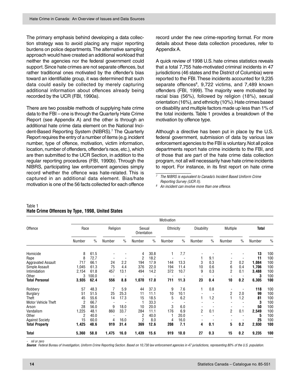The primary emphasis behind developing a data collection strategy was to avoid placing any major reporting burdens on police departments. The alternative sampling approach would have created an additional workload that neither the agencies nor the federal government could support. Since hate crimes are not separate offences, but rather traditional ones motivated by the offender's bias toward an identifiable group, it was determined that such data could easily be collected by merely capturing additional information about offences already being recorded by the UCR (FBI, 1990a).

There are two possible methods of supplying hate crime data to the FBI – one is through the Quarterly Hate Crime Report (see Appendix A) and the other is through an additional hate crime data element on the National Incident-Based Reporting System (NIBRS).7 The Quarterly Report requires the entry of a number of items (e.g. incident number, type of offence, motivation, victim information, location, number of offenders, offender's race, etc.), which are then submitted to the UCR Section, in addition to the regular reporting procedures (FBI, 1990b). Through the NIBRS, participating law enforcement agencies simply record whether the offence was hate-related. This is captured in an additional data element. Bias/hate motivation is one of the 56 facts collected for each offence

record under the new crime-reporting format. For more details about these data collection procedures, refer to Appendix A.

A quick review of 1998 U.S. hate crimes statistics reveals that a total 7,755 hate-motivated criminal incidents in 47 jurisdictions (46 states and the District of Columbia) were reported to the FBI. These incidents accounted for 9,235 separate offences<sup>8</sup>, 9,722 victims, and 7,489 known offenders (FBI, 1999). The majority were motivated by racial bias (56%), followed by religion (18%), sexual orientation (16%), and ethnicity (10%). Hate crimes based on disability and multiple factors made up less than 1% of the total incidents. Table 1 provides a breakdown of the motivation by offence type.

Although a directive has been put in place by the U.S. federal government, submission of data by various law enforcement agencies to the FBI is voluntary. Not all police departments report hate crime incidents to the FBI, and of those that are part of the hate crime data collection program, not all will necessarily have hate crime incidents to report. For instance, in its first report on hate crime

#### Table 1 **Hate Crime Offences by Type, 1998, United States**

|                            | Motivation     |               |          |               |                       |               |           |               |                |               |                |                          |              |      |
|----------------------------|----------------|---------------|----------|---------------|-----------------------|---------------|-----------|---------------|----------------|---------------|----------------|--------------------------|--------------|------|
| Offence                    | Race           |               | Religion |               | Sexual<br>Orientation |               | Ethnicity |               | Disability     |               | Multiple       |                          | <b>Total</b> |      |
|                            | Number         | $\frac{0}{0}$ | Number   | $\frac{0}{0}$ | Number                | $\frac{0}{0}$ | Number    | $\frac{0}{0}$ | Number         | $\frac{0}{0}$ | Number         | $\frac{0}{0}$            | Number       | $\%$ |
| Homicide                   | 8              | 61.5          |          |               | 4                     | 30.8          |           | 7.7           |                |               |                |                          | 13           | 100  |
| Rape                       | 8              | 72.7          |          |               | $\overline{2}$        | 18.2          |           |               |                | 9.1           |                |                          | 11           | 100  |
| <b>Aggravated Assault</b>  | 717            | 66.1          | 24       | 2.2           | 194                   | 17.9          | 144       | 13.3          | 3              | 0.3           | 2              | 0.2                      | 1,084        | 100  |
| Simple Assault             | 1,045          | 61.3          | 75       | 4.4           | 376                   | 22.0          | 194       | 11.4          | 10             | 0.6           | 6              | 0.4                      | 1,706        | 100  |
| Intimidation               | 2,154          | 61.8          | 457      | 13.1          | 494                   | 14.2          | 372       | 10.7          | 9              | 0.3           | $\overline{2}$ | 0.1                      | 3,488        | 100  |
| Other                      | 3              | 100.0         |          |               |                       |               |           |               |                |               |                |                          | 3            | 100  |
| <b>Total Personal</b>      | 3,935          | 62.4          | 556      | 8.8           | 1,070                 | 17.0          | 711       | 11.3          | 23             | 0.4           | 10             | 0.2                      | 6,305        | 100  |
| Robbery                    | 57             | 48.3          |          | 5.9           | 44                    | 37.3          | 9         | 7.6           |                | 0.8           |                | $\overline{\phantom{a}}$ | 118          | 100  |
| <b>Burglary</b>            | 51             | 51.5          | 25       | 25.3          | 11                    | 11.1          | 10        | 10.1          |                |               | 2              | 2.0                      | 99           | 100  |
| <b>Theft</b>               | 45             | 55.6          | 14       | 17.3          | 15                    | 18.5          | 5         | 6.2           |                | 1.2           |                | 1.2                      | 81           | 100  |
| <b>Motor Vehicle Theft</b> | 2              | 66.7          |          |               |                       | 33.3          |           |               |                |               |                |                          | 3            | 100  |
| Arson                      | 28             | 56.0          | 9        | 18.0          | 10                    | 20.0          | 3         | 6.0           |                |               |                |                          | 50           | 100  |
| Vandalism                  | 1,225          | 48.1          | 860      | 33.7          | 284                   | 11.1          | 176       | 6.9           | $\overline{2}$ | 0.1           | 2              | 0.1                      | 2,549        | 100  |
| Other                      | $\overline{2}$ | 40.0          |          |               | $\overline{2}$        | 40.0          |           | 20.0          |                |               |                |                          | 5            | 100  |
| <b>Against Society</b>     | 15             | 60.0          | 4        | 16.0          | $\overline{2}$        | 8.0           | 4         | 16.0          |                |               |                |                          | 25           | 100  |
| <b>Total Property</b>      | 1,425          | 48.6          | 919      | 31.4          | 369                   | 12.6          | 208       | 7.1           | 4              | 0.1           | 5              | 0.2                      | 2,930        | 100  |
| Total                      | 5,360          | 58.0          | 1,475    | 16.0          | 1,439                 | 15.6          | 919       | 10.0          | 27             | 0.3           | 15             | 0.2                      | 9,235        | 100  |

nil or zero

Source: Federal Bureau of Investigation, Uniform Crime Reporting Section. Based on 10,730 law enforcement agencies in 47 jurisdictions, representing 80% of the U.S. population.

<sup>7</sup> The NIBRS is equivalent to Canada's Incident Based Uniform Crime Reporting Survey (UCR II).

 $8$  An incident can involve more than one offence.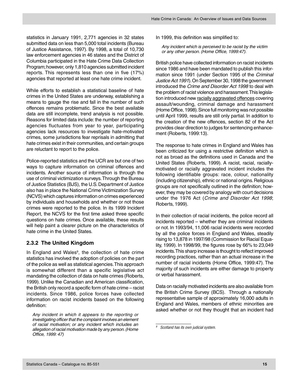<span id="page-16-0"></span>statistics in January 1991, 2,771 agencies in 32 states submitted data on less than 5,000 total incidents (Bureau of Justice Assistance, 1997). By 1998, a total of 10,730 law enforcement agencies in 46 states and the District of Columbia participated in the Hate Crime Data Collection Program; however, only 1,810 agencies submitted incident reports. This represents less than one in five (17%) agencies that reported at least one hate crime incident.

While efforts to establish a statistical baseline of hate crimes in the United States are underway, establishing a means to gauge the rise and fall in the number of such offences remains problematic. Since the best available data are still incomplete, trend analysis is not possible. Reasons for limited data include: the number of reporting agencies fluctuates from year to year, participating agencies lack resources to investigate hate-motivated crimes, some jurisdictions fear reprisals in admitting that hate crimes exist in their communities, and certain groups are reluctant to report to the police.

Police-reported statistics and the UCR are but one of two ways to capture information on criminal offences and incidents. Another source of information is through the use of criminal victimization surveys. Through the Bureau of Justice Statistics (BJS), the U.S. Department of Justice also has in place the National Crime Victimization Survey (NCVS) which captures information on crimes experienced by individuals and households and whether or not those crimes were reported to the police. In its 1999 Incident Report, the NCVS for the first time asked three specific questions on hate crimes. Once available, these results will help paint a clearer picture on the characteristics of hate crime in the United States.

#### **2.3.2 The United Kingdom**

In England and Wales<sup>9</sup>, the collection of hate crime statistics has involved the adoption of policies on the part of the police as well as statistical agencies. This approach is somewhat different than a specific legislative act mandating the collection of data on hate crimes (Roberts, 1999). Unlike the Canadian and American classification, the British only record a specific form of hate crime – racist incidents. Since 1986, police forces have collected information on racist incidents based on the following definition:

Any incident in which it appears to the reporting or investigating officer that the complaint involves an element of racial motivation; or any incident which includes an allegation of racial motivation made by any person. (Home Office, 1999: 47)

In 1999, this definition was simplified to:

Any incident which is perceived to be racist by the victim or any other person. (Home Office, 1999:47).

British police have collected information on racist incidents since 1986 and have been mandated to publish this information since 1991 (under Section 1995 of the Criminal Justice Act 1991). On September 30, 1998 the government introduced the Crime and Disorder Act 1998 to deal with the problem of racist violence and harassment. This legislation introduced new racially aggravated offences covering assault/wounding, criminal damage and harassment (Home Office, 1998). Since full monitoring was not possible until April 1999, results are still only partial. In addition to the creation of the new offences, section 82 of the Act provides clear direction to judges for sentencing enhancement (Roberts, 1999:13).

The response to hate crimes in England and Wales has been criticized for using a restrictive definition which is not as broad as the definitions used in Canada and the United States (Roberts, 1999). A racist, racial, raciallymotivated or racially aggravated incident includes the following identifiable groups: race, colour, nationality (including citizenship), ethnic or national origins. Religious groups are not specifically outlined in the definition; however, they may be covered by analogy with court decisions under the 1976 Act (Crime and Disorder Act 1998; Roberts, 1999).

In their collection of racial incidents, the police record all incidents reported – whether they are criminal incidents or not. In 1993/94, 11,006 racial incidents were recorded by all the police forces in England and Wales, steadily rising to 13,878 in 1997/98 (Commission for Racial Equality, 1999). In 1998/99, the figures rose by 66% to 23,049 incidents. This sharp increase is thought to reflect improved recording practices, rather than an actual increase in the number of racial incidents (Home Office, 1999:47). The majority of such incidents are either damage to property or verbal harassment.

Data on racially motivated incidents are also available from the British Crime Survey (BCS). Through a nationally representative sample of approximately 16,000 adults in England and Wales, members of ethnic minorities are asked whether or not they thought that an incident had

<sup>9</sup> Scotland has its own judicial system.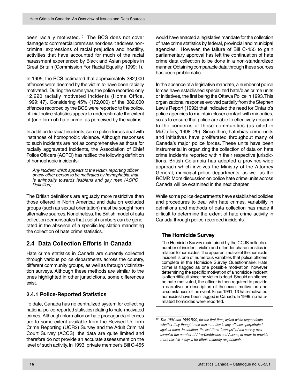<span id="page-17-0"></span>been racially motivated.<sup>10</sup> The BCS does not cover damage to commercial premises nor does it address noncriminal expressions of racial prejudice and hostility, activities that have accounted for much of the racial harassment experienced by Black and Asian peoples in Great Britain (Commission For Racial Equality, 1999: 1).

In 1995, the BCS estimated that approximately 382,000 offences were deemed by the victim to have been racially motivated. During the same year, the police recorded only 12,220 racially motivated incidents (Home Office, 1999: 47). Considering 45% (172,000) of the 382,000 offences recorded by the BCS were reported to the police, official police statistics appear to underestimate the extent of (one form of) hate crime, as perceived by the victims.

In addition to racial incidents, some police forces deal with instances of homophobic violence. Although responses to such incidents are not as comprehensive as those for racially aggravated incidents, the Association of Chief Police Officers (ACPO) has ratified the following definition of homophobic incidents:

Any incident which appears to the victim, reporting officer or any other person to be motivated by homophobia: that is animosity towards lesbians and gay men (ACPO Definition).

The British definitions are arguably more restrictive than those offered in North America; and data on excluded groups (such as sexual orientation) must be sought from alternative sources. Nonetheless, the British model of data collection demonstrates that useful numbers can be generated in the absence of a specific legislation mandating the collection of hate crime statistics.

#### **2.4 Data Collection Efforts in Canada**

Hate crime statistics in Canada are currently collected through various police departments across the country, different community groups, as well as through victimization surveys. Although these methods are similar to the ones highlighted in other jurisdictions, some differences exist.

#### **2.4.1 Police-Reported Statistics**

To date, Canada has no centralized system for collecting national police-reported statistics relating to hate-motivated crimes. Although information on hate propaganda offences are to some extent available from the Revised Uniform Crime Reporting (UCR2) Survey and the Adult Criminal Court Survey (ACCS), the data are quite limited and therefore do not provide an accurate assessment on the level of such activity. In 1993, private member's Bill C-455 would have enacted a legislative mandate for the collection of hate crime statistics by federal, provincial and municipal agencies. However, the failure of Bill C-455 to gain parliamentary approval has left the continuation of hate crime data collection to be done in a non-standardized manner. Obtaining comparable data through these sources has been problematic.

In the absence of a legislative mandate, a number of police forces have established specialized hate/bias crime units or initiatives, the first being the Ottawa Police in 1993. This organizational response evolved partially from the Stephen Lewis Report (1992) that indicated the need for Ontario's police agencies to maintain closer contact with minorities, so as to ensure that police are able to effectively respond to the concerns of these communities (as cited in McCaffery, 1998: 29). Since then, hate/bias crime units and initiatives have proliferated throughout many of Canada's major police forces. These units have been instrumental in organizing the collection of data on hate crime incidents reported within their respective jurisdictions. British Columbia has adopted a province-wide approach which involves the Ministry of the Attorney General, municipal police departments, as well as the RCMP. More discussion on police hate crime units across Canada will be examined in the next chapter.

While some police departments have established policies and procedures to deal with hate crimes, variability in definitions and methods of data collection has made it difficult to determine the extent of hate crime activity in Canada through police-recorded incidents.

#### **The Homicide Survey**

The Homicide Survey maintained by the CCJS collects a number of incident, victim and offender characteristics in relation to homicides. The apparent motive of the homicide incident is one of numerous variables that police officers complete in the Homicide Survey Questionnaire. Hate crime is flagged as one possible motivation; however determining the specific motivation of a homicide incident is often difficult since the victim is dead. Should an offence be hate-motivated, the officer is then required to provide a narrative or description of the exact motivation and circumstances of the event. Since 1991, 13 hate-motivated homicides have been flagged in Canada. In 1999, no haterelated homicides were reported.

 $10$  The 1994 and 1996 BCS, for the first time, asked white respondents whether they thought race was a motive in any offences perpetrated against them. In addition, the last three "sweeps" of the survey over sampled the number of Afro-Caribbeans and Asians, in order to provide more reliable analysis for ethnic minority respondents.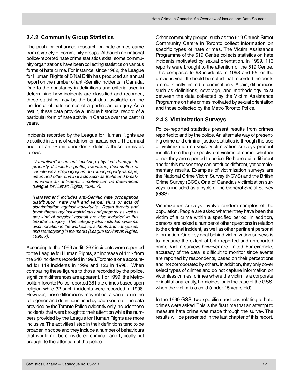#### <span id="page-18-0"></span>**2.4.2 Community Group Statistics**

The push for enhanced research on hate crimes came from a variety of community groups. Although no national police-reported hate crime statistics exist, some community organizations have been collecting statistics on various forms of hate crime. For instance, since 1982, the League for Human Rights of B'Nai Brith has produced an annual report on the number of anti-Semitic incidents in Canada. Due to the constancy in definitions and criteria used in determining how incidents are classified and recorded, these statistics may be the best data available on the incidence of hate crimes of a particular category As a result, these data provide a unique historical record of a particular form of hate activity in Canada over the past 18 years.

Incidents recorded by the League for Human Rights are classified in terms of vandalism or harassment. The annual audit of anti-Semitic incidents defines these terms as follows:

"Vandalism" is an act involving physical damage to property. It includes graffiti, swastikas, desecration of cemeteries and synagogues, and other property damage, arson and other criminal acts such as thefts and breakins where an anti-Semitic motive can be determined (League for Human Rights, 1998: 7).

"Harassment" includes anti-Semitic hate propaganda distribution, hate mail and verbal slurs or acts of discrimination against individuals. Death threats and bomb threats against individuals and property, as well as any kind of physical assault are also included in this broader category. This category also includes systemic discrimination in the workplace, schools and campuses, and stereotyping in the media (League for Human Rights, 1998: 7).

According to the 1999 audit, 267 incidents were reported to the League for Human Rights, an increase of 11% from the 240 incidents recorded in 1998. Toronto alone accounted for 119 incidents in 1999 and 123 in 1998. When comparing these figures to those recorded by the police, significant differences are apparent. For 1999, the Metropolitan Toronto Police reported 38 hate crimes based upon religion while 32 such incidents were recorded in 1998. However, these differences may reflect a variation in the categories and definitions used by each source. The data provided by the Toronto Police evidently only include those incidents that were brought to their attention while the numbers provided by the League for Human Rights are more inclusive. The activities listed in their definitions tend to be broader in scope and they include a number of behaviours that would not be considered criminal, and typically not brought to the attention of the police.

Other community groups, such as the 519 Church Street Community Centre in Toronto collect information on specific types of hate crimes. The Victim Assistance Programme of the 519 Centre collects statistics on hate incidents motivated by sexual orientation. In 1999, 116 reports were brought to the attention of the 519 Centre. This compares to 98 incidents in 1998 and 95 for the previous year. It should be noted that recorded incidents are not strictly limited to criminal acts. Again, differences such as definitions, coverage, and methodology exist between the data collected by the Victim Assistance Programme on hate crimes motivated by sexual orientation and those collected by the Metro Toronto Police.

#### **2.4.3 Victimization Surveys**

Police-reported statistics present results from crimes reported to and by the police. An alternate way of presenting crime and criminal justice statistics is through the use of victimization surveys. Victimization surveys present results from the perspective of victims of crime, whether or not they are reported to police. Both are quite different and for this reason they can produce different, yet complementary results. Examples of victimization surveys are the National Crime Victim Survey (NCVS) and the British Crime Survey (BCS). One of Canada's victimization surveys is included as a cycle of the General Social Survey (GSS).

Victimization surveys involve random samples of the population. People are asked whether they have been the victim of a crime within a specified period. In addition, persons are asked a number of other questions in relation to the criminal incident, as well as other pertinent personal information. One key goal behind victimization surveys is to measure the extent of both reported and unreported crime. Victim surveys however are limited. For example, accuracy of the data is difficult to monitor since events are reported by respondents, based on their perceptions and not corroborated by others. In addition, they only cover select types of crimes and do not capture information on victimless crimes, crimes where the victim is a corporate or institutional entity, homicides, or in the case of the GSS, when the victim is a child (under 15 years old).

In the 1999 GSS, two specific questions relating to hate crimes were asked. This is the first time that an attempt to measure hate crime was made through the survey. The results will be presented in the last chapter of this report.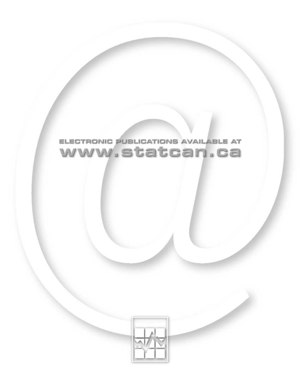

## ELECTRONIC PUBLICATIONS AVAILABLE AT www.statcan.ca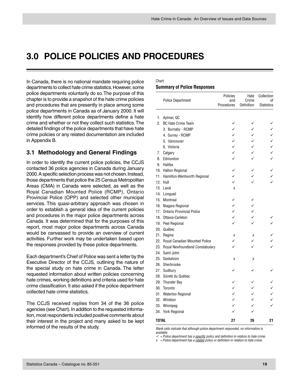### <span id="page-20-0"></span>**3.0 POLICE POLICIES AND PROCEDURES**

In Canada, there is no national mandate requiring police departments to collect hate crime statistics. However, some police departments voluntarily do so. The purpose of this chapter is to provide a snapshot of the hate crime policies and procedures that are presently in place among some police departments in Canada as of January 2000. It will identify how different police departments define a hate crime and whether or not they collect such statistics. The detailed findings of the police departments that have hate crime policies or any related documentation are included in Appendix B.

#### **3.1 Methodology and General Findings**

In order to identify the current police policies, the CCJS contacted 36 police agencies in Canada during January 2000. A specific selection process was not chosen. Instead, those departments that police the 25 Census Metropolitan Areas (CMA) in Canada were selected, as well as the Royal Canadian Mounted Police (RCMP), Ontario Provincial Police (OPP) and selected other municipal services. This quasi-arbitrary approach was chosen in order to establish a general idea of the current policies and procedures in the major police departments across Canada. It was determined that for the purposes of this report, most major police departments across Canada would be canvassed to provide an overview of current activities. Further work may be undertaken based upon the responses provided by these police departments.

Each department's Chief of Police was sent a letter by the Executive Director of the CCJS, outlining the nature of the special study on hate crime in Canada. The letter requested information about written policies concerning hate crimes, working definitions and criteria used for hate crime classification. It also asked if the police department collected hate crime statistics.

The CCJS received replies from 34 of the 36 police agencies (see Chart). In addition to the requested information, most respondents included positive comments about their interest in the project and many asked to be kept informed of the results of the study.

#### Chart **Summary of Police Responses**

|              | <b>Police Department</b>        | Policies<br>and | Hate<br>Crime | Collection<br>оf  |
|--------------|---------------------------------|-----------------|---------------|-------------------|
|              |                                 | Procedures      | Definition    | <b>Statistics</b> |
|              |                                 |                 |               |                   |
| 1.           | Aylmer, QC                      |                 |               |                   |
| 2.           | <b>BC Hate Crime Team</b>       | ✓               |               |                   |
|              | 3. Burnaby - RCMP               |                 |               |                   |
|              | 4. Surrey - RCMP                |                 |               |                   |
|              | 5. Vancouver                    |                 |               |                   |
|              | 6. Victoria                     | ✓               |               |                   |
| 7.           | Calgary                         |                 |               |                   |
| 8.           | Edmonton                        |                 |               |                   |
| 9.           | Halifax                         |                 |               |                   |
|              | 10. Halton Regional             |                 |               |                   |
|              | 11. Hamilton-Wentworth Regional | ✓               |               |                   |
| 12.          | Hull                            | ✓               |               |                   |
| 13.          | Laval                           | X               |               |                   |
| 14.          | Longueil                        |                 |               |                   |
| 15.          | Montreal                        | ✓               |               |                   |
|              | 16. Niagara Regional            | ✓               |               |                   |
|              | 17. Ontario Provincial Police   | ✓               |               |                   |
|              | 18. Ottawa-Carleton             | ✓               | ✓             |                   |
|              | 19. Peel Regional               |                 | ✓             |                   |
| 20.          | Québec                          |                 |               |                   |
| 21.          | Regina                          | X               | X             |                   |
| 22.          | Royal Canadian Mounted Police   | ✓               | ✓             |                   |
| 23.          | Royal Newfoundland Constabulary | ✓               | ✓             |                   |
| 24.          | Saint John                      |                 |               |                   |
| 25.          | Saskatoon                       | X               | Χ             |                   |
|              | 26. Sherbrooke                  |                 |               |                   |
|              | 27. Sudbury                     |                 |               |                   |
|              | 28. Sûreté du Québec            |                 |               |                   |
|              | 29. Thunder Bay                 |                 |               |                   |
| 30.          | Toronto                         |                 |               |                   |
|              | 31. Waterloo Regional           | ✓               | ✓             |                   |
|              | 32. Windsor                     | ✓               |               |                   |
| 33.          | Winnipeg                        | ✓               |               |                   |
|              | 34. York Regional               |                 |               |                   |
|              |                                 |                 |               |                   |
| <b>TOTAL</b> |                                 | 27              | 26            | 21                |

Blank cells indicate that although police department responded, no information is available.

 $\checkmark$  = Police department has a specific policy and definition in relation to hate crime.

 $x =$  Police department has a related policy or definition in relation to hate crime.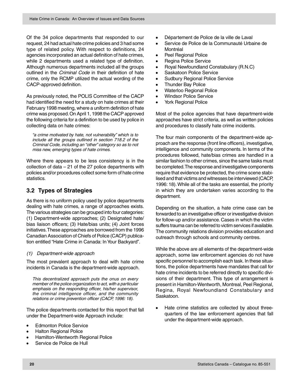<span id="page-21-0"></span>Of the 34 police departments that responded to our request, 24 had actual hate crime policies and 3 had some type of related policy. With respect to definitions, 24 agencies incorporated an actual definition of hate crimes, while 2 departments used a related type of definition. Although numerous departments included all the groups outlined in the Criminal Code in their definition of hate crime, only the RCMP utilized the actual wording of the CACP-approved definition.

As previously noted, the POLIS Committee of the CACP had identified the need for a study on hate crimes at their February 1998 meeting, where a uniform definition of hate crime was proposed. On April 1, 1998 the CACP approved the following criteria for a definition to be used by police in collecting data on hate crimes:

"a crime motivated by hate, not vulnerability" which is to include all the groups outlined in section 718.2 of the Criminal Code, including an "other" category so as to not miss new, emerging types of hate crimes.

Where there appears to be less consistency is in the collection of data – 21 of the 27 police departments with policies and/or procedures collect some form of hate crime statistics.

#### **3.2 Types of Strategies**

As there is no uniform policy used by police departments dealing with hate crimes, a range of approaches exists. The various strategies can be grouped into four categories: (1) Department-wide approaches; (2) Designated hate/ bias liaison officers; (3) Hate/bias units; (4) Joint forces initiatives. These approaches are borrowed from the 1996 Canadian Association of Chiefs of Police (CACP) publication entitled "Hate Crime in Canada: In Your Backyard".

#### (1) Department-wide approach

The most prevalent approach to deal with hate crime incidents in Canada is the department-wide approach.

This decentralized approach puts the onus on every member of the police organization to act, with a particular emphasis on the responding officer, his/her supervisor, the criminal intelligence officer, and the community relations or crime prevention officer (CACP, 1996: 18).

The police departments contacted for this report that fall under the Department-wide Approach include:

- **Edmonton Police Service**
- Halton Regional Police
- Hamilton-Wentworth Regional Police
- Service de Police de Hull
- Département de Police de la ville de Laval
- Service de Police de la Communauté Urbaine de Montréal
- Peel Regional Police
- Regina Police Service
- Royal Newfoundland Constabulary (R.N.C)
- Saskatoon Police Service
- Sudbury Regional Police Service
- Thunder Bay Police
- Waterloo Regional Police
- Windsor Police Service
- York Regional Police

Most of the police agencies that have department-wide approaches have strict criteria, as well as written policies and procedures to classify hate crime incidents.

The four main components of the department-wide approach are the response (front line officers), investigative, intelligence and community components. In terms of the procedures followed, hate/bias crimes are handled in a similar fashion to other crimes, since the same tasks must be completed. The response and investigative components require that evidence be protected, the crime scene stabilised and that victims and witnesses be interviewed (CACP, 1996: 18). While all of the tasks are essential, the priority in which they are undertaken varies according to the department.

Depending on the situation, a hate crime case can be forwarded to an investigative officer or investigative division for follow-up and/or assistance. Cases in which the victim suffers trauma can be referred to victim services if available. The community relations division provides education and outreach through schools and community centres.

While the above are all elements of the department-wide approach, some law enforcement agencies do not have specific personnel to accomplish each task. In these situations, the police departments have mandates that call for hate crime incidents to be referred directly to specific divisions of their department. This type of arrangement is present in Hamilton-Wentworth, Montreal, Peel Regional, Regina, Royal Newfoundland Constabulary and Saskatoon.

• Hate crime statistics are collected by about threequarters of the law enforcement agencies that fall under the department-wide approach.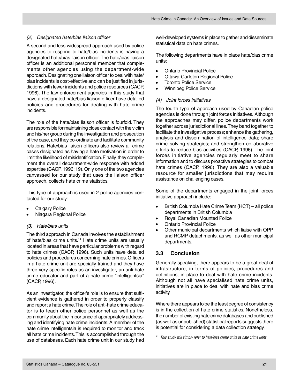#### <span id="page-22-0"></span>(2) Designated hate/bias liaison officer

A second and less widespread approach used by police agencies to respond to hate/bias incidents is having a designated hate/bias liaison officer. The hate/bias liaison officer is an additional personnel member that complements other agencies using the department-wide approach. Designating one liaison officer to deal with hate/ bias incidents is cost-effective and can be justified in jurisdictions with fewer incidents and police resources (CACP, 1996). The law enforcement agencies in this study that have a designated hate/bias liaison officer have detailed policies and procedures for dealing with hate crime incidents.

The role of the hate/bias liaison officer is fourfold. They are responsible for maintaining close contact with the victim and his/her group during the investigation and prosecution of the case, and they co-ordinate and facilitate community relations. Hate/bias liaison officers also review all crime cases designated as having a hate motivation in order to limit the likelihood of misidentification. Finally, they complement the overall department-wide response with added expertise (CACP, 1996: 19). Only one of the two agencies canvassed for our study that uses the liaison officer approach, collects hate crime statistics.

This type of approach is used in 2 police agencies contacted for our study:

- Calgary Police
- Niagara Regional Police

#### (3) Hate/bias units

The third approach in Canada involves the establishment of hate/bias crime units.<sup>11</sup> Hate crime units are usually located in areas that have particular problems with regard to hate crimes (CACP, 1996). Such units have detailed policies and procedures concerning hate crimes. Officers in a hate crime unit are specially trained and they have three very specific roles as an investigator, an anti-hate crime educator and part of a hate crime "intelligentsia" (CACP, 1996).

As an investigator, the officer's role is to ensure that sufficient evidence is gathered in order to properly classify and report a hate crime. The role of anti-hate crime educator is to teach other police personnel as well as the community about the importance of appropriately addressing and identifying hate crime incidents. A member of the hate crime intelligentsia is required to monitor and track all hate crime incidents. This is accomplished through the use of databases. Each hate crime unit in our study had

well-developed systems in place to gather and disseminate statistical data on hate crimes.

The following departments have in place hate/bias crime units:

- Ontario Provincial Police
- Ottawa-Carleton Regional Police
- **Toronto Police Service**
- Winnipeg Police Service

#### (4) Joint forces initiatives

The fourth type of approach used by Canadian police agencies is done through joint forces initiatives. Although the approaches may differ, police departments work together across jurisdictional lines. They band together to facilitate the investigative process; enhance the gathering, analysis and dissemination of intelligence data; share crime solving strategies; and strengthen collaborative efforts to reduce bias activities (CACP, 1996). The joint forces initiative agencies regularly meet to share information and to discuss proactive strategies to combat hate crimes (CACP, 1996). They are also a valuable resource for smaller jurisdictions that may require assistance on challenging cases.

Some of the departments engaged in the joint forces initiative approach include:

- British Columbia Hate Crime Team (HCT) all police departments in British Columbia
- Royal Canadian Mounted Police
- Ontario Provincial Police
- Other municipal departments which liaise with OPP and RCMP detachments, as well as other municipal departments.

#### **3.3 Conclusion**

Generally speaking, there appears to be a great deal of infrastructure, in terms of policies, procedures and definitions, in place to deal with hate crime incidents. Although not all have specialised hate crime units, initiatives are in place to deal with hate and bias crime activity.

Where there appears to be the least degree of consistency is in the collection of hate crime statistics. Nonetheless, the number of existing hate crime databases and published (as well as unpublished) statistical reports suggests there is potential for considering a data collection strategy.

<sup>&</sup>lt;sup>11</sup> This study will simply refer to hate/bias crime units as hate crime units.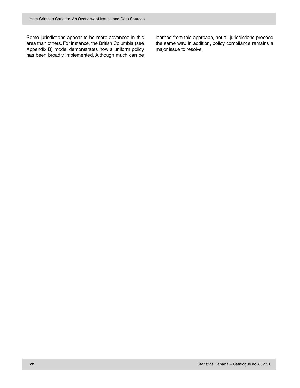Some jurisdictions appear to be more advanced in this area than others. For instance, the British Columbia (see Appendix B) model demonstrates how a uniform policy has been broadly implemented. Although much can be learned from this approach, not all jurisdictions proceed the same way. In addition, policy compliance remains a major issue to resolve.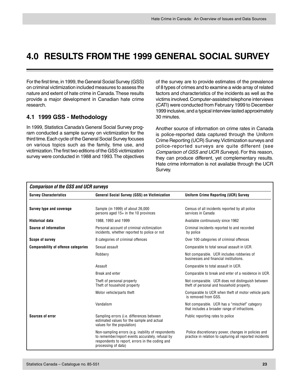## <span id="page-24-0"></span>**4.0 RESULTS FROM THE 1999 GENERAL SOCIAL SURVEY**

For the first time, in 1999, the General Social Survey (GSS) on criminal victimization included measures to assess the nature and extent of hate crime in Canada. These results provide a major development in Canadian hate crime research.

#### **4.1 1999 GSS - Methodology**

In 1999, Statistics Canada's General Social Survey program conducted a sample survey on victimization for the third time. Each cycle of the General Social Survey focuses on various topics such as the family, time use, and victimization. The first two editions of the GSS victimization survey were conducted in 1988 and 1993. The objectives of the survey are to provide estimates of the prevalence of 8 types of crimes and to examine a wide array of related factors and characteristics of the incidents as well as the victims involved. Computer-assisted telephone interviews (CATI) were conducted from February 1999 to December 1999 inclusive, and a typical interview lasted approximately 30 minutes.

Another source of information on crime rates in Canada is police-reported data captured through the Uniform Crime Reporting (UCR) Survey. Victimization surveys and police-reported surveys are quite different (see Comparison of GSS and UCR Surveys). For this reason, they can produce different, yet complementary results. Hate crime information is not available through the UCR Survey.

| <b>Comparison of the GSS and UCR surveys</b> |                                                                                                                                                                                  |                                                                                                                 |  |  |  |  |
|----------------------------------------------|----------------------------------------------------------------------------------------------------------------------------------------------------------------------------------|-----------------------------------------------------------------------------------------------------------------|--|--|--|--|
| <b>Survey Characteristics</b>                | <b>General Social Survey (GSS) on Victimization</b>                                                                                                                              | <b>Uniform Crime Reporting (UCR) Survey</b>                                                                     |  |  |  |  |
|                                              |                                                                                                                                                                                  |                                                                                                                 |  |  |  |  |
| <b>Survey type and coverage</b>              | Sample (in 1999) of about 26,000<br>persons aged $15+$ in the 10 provinces                                                                                                       | Census of all incidents reported by all police<br>services in Canada                                            |  |  |  |  |
| <b>Historical data</b>                       | 1988, 1993 and 1999                                                                                                                                                              | Available continuously since 1962                                                                               |  |  |  |  |
| Source of information                        | Personal account of criminal victimization<br>incidents, whether reported to police or not                                                                                       | Criminal incidents reported to and recorded<br>by police                                                        |  |  |  |  |
| Scope of survey                              | 8 categories of criminal offences                                                                                                                                                | Over 100 categories of criminal offences                                                                        |  |  |  |  |
| <b>Comparability of offence categories</b>   | Sexual assault                                                                                                                                                                   | Comparable to total sexual assault in UCR.                                                                      |  |  |  |  |
|                                              | Robbery                                                                                                                                                                          | Not comparable. UCR includes robberies of<br>businesses and financial institutions.                             |  |  |  |  |
|                                              | Assault                                                                                                                                                                          | Comparable to total assault in UCR.                                                                             |  |  |  |  |
|                                              | Break and enter                                                                                                                                                                  | Comparable to break and enter of a residence in UCR.                                                            |  |  |  |  |
|                                              | Theft of personal property<br>Theft of household property                                                                                                                        | Not comparable. UCR does not distinguish between<br>theft of personal and household property.                   |  |  |  |  |
|                                              | Motor vehicle/parts theft                                                                                                                                                        | Comparable to UCR when theft of motor vehicle parts<br>is removed from GSS.                                     |  |  |  |  |
|                                              | Vandalism                                                                                                                                                                        | Not comparable. UCR has a "mischief" category<br>that includes a broader range of infractions.                  |  |  |  |  |
| Sources of error                             | Sampling errors (i.e. differences between<br>estimated values for the sample and actual<br>values for the population)                                                            | Public reporting rates to police                                                                                |  |  |  |  |
|                                              | Non-sampling errors (e.g. inability of respondents<br>to remember/report events accurately, refusal by<br>respondents to report, errors in the coding and<br>processing of data) | Police discretionary power, changes in policies and<br>practice in relation to capturing all reported incidents |  |  |  |  |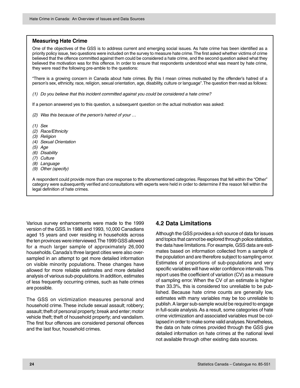#### <span id="page-25-0"></span>**Measuring Hate Crime**

One of the objectives of the GSS is to address current and emerging social issues. As hate crime has been identified as a priority policy issue, two questions were included on the survey to measure hate crime. The first asked whether victims of crime believed that the offence committed against them could be considered a hate crime, and the second question asked what they believed the motivation was for this offence. In order to ensure that respondents understood what was meant by hate crime, they were read the following pre-amble to the questions:

"There is a growing concern in Canada about hate crimes. By this I mean crimes motivated by the offender's hatred of a person's sex, ethnicity, race, religion, sexual orientation, age, disability, culture or language". The question then read as follows:

(1) Do you believe that this incident committed against you could be considered a hate crime?

If a person answered yes to this question, a subsequent question on the actual motivation was asked:

- (2) Was this because of the person's hatred of your …
- (1) Sex
- (2) Race/Ethnicity
- (3) Religion
- (4) Sexual Orientation
- (5) Age
- (6) Disability
- (7) Culture
- (8) Language
- (9) Other (specify)

A respondent could provide more than one response to the aforementioned categories. Responses that fell within the "Other" category were subsequently verified and consultations with experts were held in order to determine if the reason fell within the legal definition of hate crimes.

Various survey enhancements were made to the 1999 version of the GSS. In 1988 and 1993, 10,000 Canadians aged 15 years and over residing in households across the ten provinces were interviewed. The 1999 GSS allowed for a much larger sample of approximately 26,000 households. Canada's three largest cities were also oversampled in an attempt to get more detailed information on visible minority populations. These changes have allowed for more reliable estimates and more detailed analysis of various sub-populations. In addition, estimates of less frequently occurring crimes, such as hate crimes are possible.

The GSS on victimization measures personal and household crime. These include sexual assault; robbery; assault; theft of personal property; break and enter; motor vehicle theft; theft of household property; and vandalism. The first four offences are considered personal offences and the last four, household crimes.

#### **4.2 Data Limitations**

Although the GSS provides a rich source of data for issues and topics that cannot be explored through police statistics, the data have limitations. For example, GSS data are estimates based on information collected from a sample of the population and are therefore subject to sampling error. Estimates of proportions of sub-populations and very specific variables will have wider confidence intervals. This report uses the coefficient of variation (CV) as a measure of sampling error. When the CV of an estimate is higher than 33.3%, this is considered too unreliable to be published. Because hate crime counts are generally low, estimates with many variables may be too unreliable to publish. A larger sub-sample would be required to engage in full-scale analysis. As a result, some categories of hate crime victimization and associated variables must be collapsed in order to make some valid analyses. Nonetheless, the data on hate crimes provided through the GSS give detailed information on hate crimes at the national level not available through other existing data sources.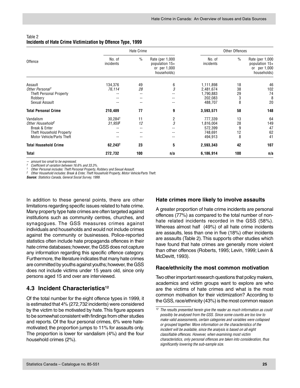|                              |                       | Hate Crime    | <b>Other Offences</b>                                            |                     |               |                                                                  |
|------------------------------|-----------------------|---------------|------------------------------------------------------------------|---------------------|---------------|------------------------------------------------------------------|
| Offence                      | No. of<br>incidents   | $\frac{0}{0}$ | Rate (per 1,000<br>population 15+<br>or per 1,000<br>households) | No. of<br>incidents | $\frac{0}{0}$ | Rate (per 1,000<br>population 15+<br>or per 1,000<br>households) |
| Assault                      | 134,376               | 49            | 6                                                                | 1,111,898           | 18            | 46                                                               |
| Other Personal <sup>1</sup>  | 76,114                | 28            | 3                                                                | 2,481,674           | 38            | 102                                                              |
| Theft Personal Property      |                       | --            |                                                                  | 1,790,883           | 29            | 74                                                               |
| Robbery                      |                       |               |                                                                  | 202,083             | 3             | 8                                                                |
| Sexual Assault               |                       | --            | --                                                               | 488,707             | 8             | 20                                                               |
| <b>Total Personal Crime</b>  | 210,489               | 77            | 9                                                                | 3,593,571           | 58            | 148                                                              |
| Vandalism                    | 30.284                | 11            |                                                                  | 777,339             | 13            | 64                                                               |
| Other Household <sup>2</sup> | $31.959$ <sup>t</sup> | 12            | $\frac{2}{3}$                                                    | 1,816,004           | 28            | 149                                                              |
| Break & Enter                |                       |               |                                                                  | 572,399             | 9             | 47                                                               |
| Theft Household Property     |                       |               |                                                                  | 748,691             | 12            | 62                                                               |
| Motor Vehicle/Parts Theft    |                       |               |                                                                  | 494,913             | 8             | 41                                                               |
| <b>Total Household Crime</b> | $62,243^{\dagger}$    | 23            | 5                                                                | 2,593,343           | 42            | 107                                                              |
| Total                        | 272,732               | 100           | n/a                                                              | 6,186,914           | 100           | n/a                                                              |

#### <span id="page-26-0"></span>Table 2 **Incidents of Hate Crime Victimization by Offence Type, 1999**

-- amount too small to be expressed.

Coefficient of variation between 16.6% and 33.3%.

<sup>1</sup> Other Personal includes: Theft Personal Property, Robbery and Sexual Assault.<br>2. Other Hausehold includes: Propis 8, Enter Theft Hausehold Property, Mater Vol.

<sup>2</sup> Other Household includes: Break & Enter, Theft Household Property, Motor Vehicle/Parts Theft.

**Source:** Statistics Canada, General Social Survey, 1999.

In addition to these general points, there are other limitations regarding specific issues related to hate crime. Many property type hate crimes are often targeted against institutions such as community centres, churches, and synagogues. The GSS measures crimes against individuals and households and would not include crimes against the community or businesses. Police-reported statistics often include hate propaganda offences in their hate crime databases; however, the GSS does not capture any information regarding this specific offence category. Furthermore, the literature indicates that many hate crimes are committed by youths against youths; however, the GSS does not include victims under 15 years old, since only persons aged 15 and over are interviewed.

#### **4.3 Incident Characteristics<sup>12</sup>**

Of the total number for the eight offence types in 1999, it is estimated that 4% (272,732 incidents) were considered by the victim to be motivated by hate. This figure appears to be somewhat consistent with findings from other studies and reports. Of the four personal crimes, 6% were hatemotivated; the proportion jumps to 11% for assaults only. The proportion is lower for vandalism (4%) and the four household crimes (2%).

#### **Hate crimes more likely to involve assaults**

A greater proportion of hate crime incidents are personal offences (77%) as compared to the total number of nonhate related incidents recorded in the GSS (58%). Whereas almost half (49%) of all hate crime incidents are assaults, less than one in five (18%) other incidents are assaults (Table 2). This supports other studies which have found that hate crimes are generally more violent than other offences (Roberts, 1995; Levin, 1999; Levin & McDevitt, 1993).

#### **Race/ethnicity the most common motivation**

Two other important research questions that policy makers, academics and victim groups want to explore are who are the victims of hate crimes and what is the most common motivation for their victimization? According to the GSS, race/ethnicity (43%) is the most common reason

 $12$  The results presented herein give the reader as much information as could possibly be analysed from the GSS. Since some counts are too low to make valid assessments, certain categories and variables were collapsed or grouped together. More information on the characteristics of the incident will be available, since the analysis is based on all eight classifiable offences. However, when examining most victim characteristics, only personal offences are taken into consideration, thus significantly lowering the sub-sample size.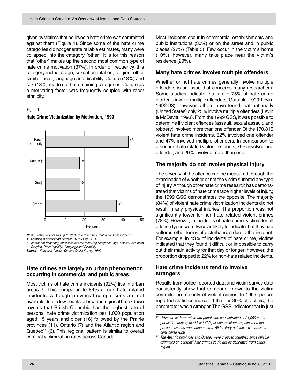given by victims that believed a hate crime was committed against them (Figure 1). Since some of the hate crime categories did not generate reliable estimates, many were collapsed into the category "other". It is for this reason that "other" makes up the second most common type of hate crime motivation (37%). In order of frequency, this category includes age, sexual orientation, religion, other similar factor, language and disability. Culture (18%) and sex (18%) made up the remaining categories. Culture as a motivating factor was frequently coupled with race/ ethnicity.

#### Figure 1



#### **Hate Crime Victimization by Motivation, 1999**

**Note**: Totals will not add up to 100% due to multiple motivations per incident. Coefficient of variation between 16.6% and 33.3%. \*

 In order of frequency, other includes the following categories: Age, Sexual Orientation, Religion, Other (specify), Language and Disability. **Source**: Statistics Canada, General Social Survey, 1999

#### **Hate crimes are largely an urban phenomenon occurring in commercial and public areas**

Most victims of hate crime incidents (92%) live in urban areas.13 This compares to 84% of non-hate related incidents. Although provincial comparisons are not available due to low counts, a broader regional breakdown reveals that British Columbia has the highest rate of personal hate crime victimization per 1,000 population aged 15 years and older (16) followed by the Prairie provinces (11), Ontario (7) and the Atlantic region and Quebec<sup>14</sup> (6). This regional pattern is similar to overall criminal victimization rates across Canada.

Most incidents occur in commercial establishments and public institutions (30%) or on the street and in public places (27%) (Table 3). Few occur in the victim's home (10%); however, many take place near the victim's residence (29%).

#### **Many hate crimes involve multiple offenders**

Whether or not hate crimes generally involve multiple offenders is an issue that concerns many researchers. Some studies indicate that up to 75% of hate crime incidents involve multiple offenders (Garafolo, 1990; Levin, 1992-93); however, others have found that nationally (United States) only 25% involve multiple offenders (Levin & McDevitt, 1993). From the 1999 GSS, it was possible to determine if violent offences (assault, sexual assault, and robbery) involved more than one offender. Of the 170,815 violent hate crime incidents, 52% involved one offender and 47% involved multiple offenders. In comparison to other non-hate related violent incidents, 75% involved one offender, and 20% involved more than one.

#### **The majority do not involve physical injury**

The severity of the offence can be measured through the examination of whether or not the victim suffered any type of injury. Although other hate crime research has demonstrated that victims of hate crime face higher levels of injury, the 1999 GSS demonstrates the opposite. The majority (84%) of violent hate crime victimization incidents did not result in any physical injuries. The proportion was not significantly lower for non-hate related violent crimes (78%). However, in incidents of hate crime, victims for all offence types were twice as likely to indicate that they had suffered other forms of disturbances due to the incident. For example, in 43% of incidents of hate crime, victims indicated that they found it difficult or impossible to carry out their main activity for that day or longer; however, the proportion dropped to 22% for non-hate related incidents.

#### **Hate crime incidents tend to involve strangers**

Results from police-reported data and victim survey data consistently show that someone known to the victim commits the majority of violent crimes. In 1999, policereported statistics indicated that for 30% of victims, the perpetrator was a stranger. The GSS indicates that in just

 $\frac{13}{13}$  Urban areas have minimum population concentrations of 1,000 and a population density of at least 400 per square kilometre, based on the previous census population counts. All territory outside urban areas is considered rural.

<sup>14</sup> The Atlantic provinces and Quebec were grouped together, since reliable estimates on personal hate crimes could not be generated from either region.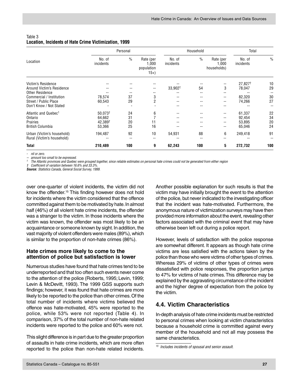#### <span id="page-28-0"></span>Table 3 **Location, Incidents of Hate Crime Victimization, 1999**

|                                                          | Personal            |               |                                           | Household           | Total         |                                   |                     |               |
|----------------------------------------------------------|---------------------|---------------|-------------------------------------------|---------------------|---------------|-----------------------------------|---------------------|---------------|
| Location                                                 | No. of<br>incidents | $\frac{0}{0}$ | Rate (per<br>1,000<br>population<br>$15+$ | No. of<br>incidents | $\frac{0}{0}$ | Rate (per<br>1,000<br>households) | No. of<br>incidents | $\frac{0}{0}$ |
| Victim's Residence                                       |                     |               |                                           |                     |               |                                   | 27,827 <sup>t</sup> | 10            |
| Around Victim's Residence                                |                     |               |                                           | 33,902 <sup>+</sup> | 54            | 3                                 | 78,047              | 29            |
| <b>Other Residence</b>                                   |                     |               |                                           |                     |               | --                                |                     |               |
| Commercial / Institution                                 | 78,574              | 37            | 3                                         |                     |               | --                                | 82,320              | 30            |
| Street / Public Place                                    | 60,543              | 29            | $\overline{2}$                            |                     |               | --                                | 74,266              | 27            |
| Don't Know / Not Stated                                  |                     |               |                                           |                     |               | --                                |                     |               |
| Atlantic and Quebec <sup>1</sup>                         | 50.073 <sup>†</sup> | 24            | 6                                         |                     |               |                                   | 61,337              | 22            |
| Ontario                                                  | 64,662              | 31            |                                           |                     |               |                                   | 92,454              | 34            |
| Prairies                                                 | 42,389 <sup>t</sup> | 20            | 11                                        |                     |               |                                   | 53,895              | 20            |
| <b>British Columbia</b>                                  | 53,366              | 25            | 16                                        |                     |               | --                                | 65,046              | 24            |
| Urban (Victim's household)<br>Rural (Victim's household) | 194,487<br>--       | 92<br>$- -$   | 10<br>$- -$                               | 54,931              | 88<br>$- -$   | 6<br>--                           | 249,418             | 91            |
| <b>Total</b>                                             | 210,489             | 100           | 9                                         | 62,243              | 100           | 5                                 | 272,732             | 100           |

- nil or zero.

amount too small to be expressed.

<sup>1</sup> The Atlantic provinces and Quebec were grouped together, since reliable estimates on personal hate crimes could not be generated from either region

Coefficient of variation between 16.6% and 33.3%.

**Source:** Statistics Canada, General Social Survey, 1999.

over one-quarter of violent incidents, the victim did not know the offender.15 This finding however does not hold for incidents where the victim considered that the offence committed against them to be motivated by hate. In almost half (46%) of all violent hate crime incidents, the offender was a stranger to the victim. In those incidents where the victim was known, the offender was most likely to be an acquaintance or someone known by sight. In addition, the vast majority of violent offenders were males (89%), which is similar to the proportion of non-hate crimes (86%).

#### **Hate crimes more likely to come to the attention of police but satisfaction is lower**

Numerous studies have found that hate crimes tend to be underreported and that too often such events never come to the attention of the police (Roberts, 1995; Levin, 1999; Levin & McDevitt, 1993). The 1999 GSS supports such findings; however, it was found that hate crimes are more likely to be reported to the police than other crimes. Of the total number of incidents where victims believed the offence was hate-motivated, 45% were reported to the police, while 53% were not reported (Table 4). In comparison, 37% of the total number of non-hate related incidents were reported to the police and 60% were not.

This slight difference is in part due to the greater proportion of assaults in hate crime incidents, which are more often reported to the police than non-hate related incidents.

Another possible explanation for such results is that the victim may have initially brought the event to the attention of the police, but never indicated to the investigating officer that the incident was hate-motivated. Furthermore, the anonymous nature of victimization surveys may have then provided more information about the event, revealing other factors associated with the criminal event that may have otherwise been left out during a police report.

However, levels of satisfaction with the police response are somewhat different. It appears as though hate crime victims are less satisfied with the actions taken by the police than those who were victims of other types of crimes. Whereas 29% of victims of other types of crimes were dissatisfied with police responses, the proportion jumps to 47% for victims of hate crimes. This difference may be explained by the aggravating circumstance of the incident and the higher degree of expectation from the police by the victim.

#### **4.4. Victim Characteristics**

In-depth analysis of hate crime incidents must be restricted to personal crimes when looking at victim characteristics because a household crime is committed against every member of the household and not all may possess the same characteristics.

<sup>15</sup> Includes incidents of spousal and senior assault.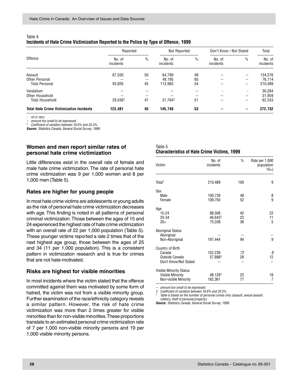| Table 4                                                                               |  |
|---------------------------------------------------------------------------------------|--|
| Incidents of Hate Crime Victimization Reported to the Police by Type of Offence, 1999 |  |

|                                                 | Reported            |                          | Not Reported        |               | Don't Know / Not Stated |               | Total               |  |
|-------------------------------------------------|---------------------|--------------------------|---------------------|---------------|-------------------------|---------------|---------------------|--|
| Offence                                         | No. of<br>incidents | $\%$                     | No. of<br>incidents | $\frac{0}{0}$ | No. of<br>incidents     | $\frac{0}{0}$ | No. of<br>incidents |  |
| Assault                                         | 67,550              | 50                       | 64.789              | 48            | --                      | --            | 134,376             |  |
| Other Personal                                  | --                  | $\overline{\phantom{a}}$ | 49,195              | 65            | --                      | --            | 76,114              |  |
| <b>Total Personal</b>                           | 93,926              | 45                       | 113.983             | 54            | --                      | --            | 210,489             |  |
| Vandalism                                       | --                  | $-$                      | --                  | --            | -                       |               | 30,284              |  |
| Other Household                                 | --                  | $- -$                    | --                  | --            | --                      | --            | 31,959              |  |
| <b>Total Household</b>                          | 29.556 <sup>+</sup> | 47                       | 31.764 <sup>t</sup> | 51            | --                      | --            | 62,243              |  |
| <b>Total Hate Crime Victimization Incidents</b> | 123,481             | 45                       | 145,748             | 53            | --                      | --            | 272,732             |  |

- nil or zero.

amount too small to be expressed.

† Coefficient of variation between 16.6% and 33.3%.

**Source:** Statistics Canada, General Social Survey, 1999.

#### **Women and men report similar rates of personal hate crime victimization**

Little differences exist in the overall rate of female and male hate crime victimization. The rate of personal hate crime victimization was 9 per 1,000 women and 8 per 1,000 men (Table 5).

#### **Rates are higher for young people**

In most hate crime victims are adolescents or young adults as the risk of personal hate crime victimization decreases with age. This finding is noted in all patterns of personal criminal victimization. Those between the ages of 15 and 24 experienced the highest rate of hate crime victimization with an overall rate of 22 per 1,000 population (Table 5). These younger victims reported a rate 2 times that of the next highest age group, those between the ages of 25 and 34 (11 per 1,000 population). This is a consistent pattern in victimization research and is true for crimes that are not hate-motivated.

#### **Risks are highest for visible minorities**

In most incidents where the victim stated that the offence committed against them was motivated by some form of hatred, the victim was not from a visible minority group. Further examination of the race/ethnicity category reveals a similar pattern. However, the risk of hate crime victimization was more than 2 times greater for visible minorities than for non-visible minorities. These proportions translate to an estimated personal crime victimization rate of 7 per 1,000 non-visible minority persons and 19 per 1,000 visible minority persons.

#### Table 5 **Characteristics of Hate Crime Victims, 1999**

| Victim                                                                                   | No. of<br>incidents                     | $\frac{0}{0}$  | Rate per 1,000<br>population<br>$15+$ |
|------------------------------------------------------------------------------------------|-----------------------------------------|----------------|---------------------------------------|
| Total <sup>1</sup>                                                                       | 210,489                                 | 100            | 9                                     |
| Sex                                                                                      |                                         |                |                                       |
| Male<br>Female                                                                           | 100,739<br>109,750                      | 48<br>52       | 8<br>9                                |
| Age                                                                                      |                                         |                |                                       |
| $15 - 24$<br>25-34<br>$35+$                                                              | 88,508<br>46,643 <sup>†</sup><br>75,338 | 42<br>22<br>36 | 22<br>11<br>5                         |
| <b>Aboriginal Status</b>                                                                 |                                         |                |                                       |
| Aboriginal<br>Non-Aboriginal                                                             | 197,444                                 | 94             | 9                                     |
| Country of Birth<br>Canada<br>Outside Canada<br>Don't Know/Not Stated                    | 152,238<br>57,888 <sup>+</sup>          | 72<br>28       | 8<br>12                               |
| <b>Visible Minority Status</b><br><b>Visible Minority</b><br><b>Non-visible Minority</b> | 48,128 <sup>+</sup><br>162,361          | 23<br>77       | 19<br>7                               |

amount too small to be expressed.

† Coefficient of variation between 16.6% and 33.3%.

Table is based on the number of personal crimes only (assault, sexual assault, robbery, theft of personal property).

**Source:** Statistics Canada, General Social Survey, 1999.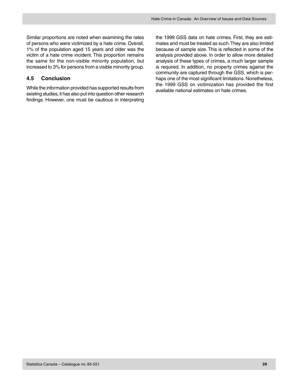<span id="page-30-0"></span>Similar proportions are noted when examining the rates of persons who were victimized by a hate crime. Overall, 1% of the population aged 15 years and older was the victim of a hate crime incident. This proportion remains the same for the non-visible minority population, but increased to 3% for persons from a visible minority group.

#### **4.5 Conclusion**

While the information provided has supported results from existing studies, it has also put into question other research findings. However, one must be cautious in interpreting

the 1999 GSS data on hate crimes. First, they are estimates and must be treated as such. They are also limited because of sample size. This is reflected in some of the analysis provided above. In order to allow more detailed analysis of these types of crimes, a much larger sample is required. In addition, no property crimes against the community are captured through the GSS, which is perhaps one of the most significant limitations. Nonetheless, the 1999 GSS on victimization has provided the first available national estimates on hate crimes.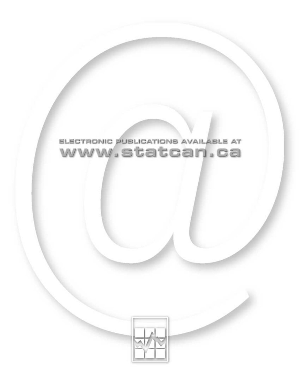

## ELECTRONIC PUBLICATIONS AVAILABLE AT www.statcan.ca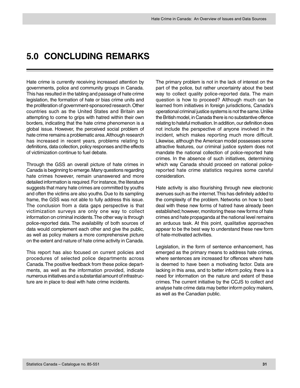### <span id="page-32-0"></span>**5.0 CONCLUDING REMARKS**

Hate crime is currently receiving increased attention by governments, police and community groups in Canada. This has resulted in the tabling and passage of hate crime legislation, the formation of hate or bias crime units and the proliferation of government-sponsored research. Other countries such as the United States and Britain are attempting to come to grips with hatred within their own borders, indicating that the hate crime phenomenon is a global issue. However, the perceived social problem of hate crime remains a problematic area. Although research has increased in recent years, problems relating to definitions, data collection, policy responses and the effects of victimization continue to fuel debate.

Through the GSS an overall picture of hate crimes in Canada is beginning to emerge. Many questions regarding hate crimes however, remain unanswered and more detailed information is required. For instance, the literature suggests that many hate crimes are committed by youths and often the victims are also youths. Due to its sampling frame, the GSS was not able to fully address this issue. The conclusion from a data gaps perspective is that victimization surveys are only one way to collect information on criminal incidents. The other way is through police-reported data. The availability of both sources of data would complement each other and give the public, as well as policy makers a more comprehensive picture on the extent and nature of hate crime activity in Canada.

This report has also focused on current policies and procedures of selected police departments across Canada. The positive feedback from these police departments, as well as the information provided, indicate numerous initiatives and a substantial amount of infrastructure are in place to deal with hate crime incidents.

The primary problem is not in the lack of interest on the part of the police, but rather uncertainty about the best way to collect quality police-reported data. The main question is how to proceed? Although much can be learned from initiatives in foreign jurisdictions, Canada's operational criminal justice systems is not the same. Unlike the British model, in Canada there is no substantive offence relating to hateful motivation. In addition, our definition does not include the perspective of anyone involved in the incident, which makes reporting much more difficult. Likewise, although the American model possesses some attractive features, our criminal justice system does not mandate the national collection of police-reported hate crimes. In the absence of such initiatives, determining which way Canada should proceed on national policereported hate crime statistics requires some careful consideration.

Hate activity is also flourishing through new electronic avenues such as the internet. This has definitely added to the complexity of the problem. Networks on how to best deal with these new forms of hatred have already been established; however, monitoring these new forms of hate crimes and hate propaganda at the national level remains an arduous task. At this point, qualitative approaches appear to be the best way to understand these new form of hate-motivated activities.

Legislation, in the form of sentence enhancement, has emerged as the primary means to address hate crimes, where sentences are increased for offences where hate is deemed to have been a motivating factor. Data are lacking in this area, and to better inform policy, there is a need for information on the nature and extent of these crimes. The current initiative by the CCJS to collect and analyse hate crime data may better inform policy makers, as well as the Canadian public.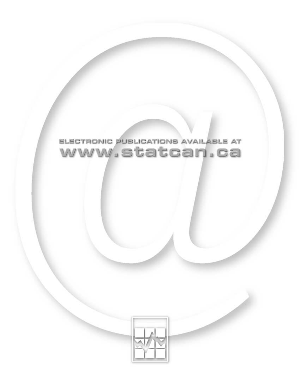

## ELECTRONIC PUBLICATIONS AVAILABLE AT www.statcan.ca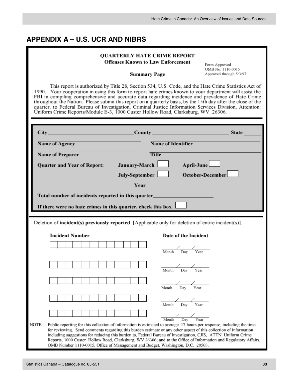<span id="page-34-0"></span>

| <b>QUARTERLY HATE CRIME REPORT</b><br><b>Offenses Known to Law Enforcement</b><br>Form Approved<br>OMB No. 1110-0015<br>Approved through 5/3/97<br><b>Summary Page</b><br>This report is authorized by Title 28, Section 534, U.S. Code, and the Hate Crime Statistics Act of<br>1990. Your cooperation in using this form to report hate crimes known to your department will assist the<br>FBI in compiling comprehensive and accurate data regarding incidence and prevalence of Hate Crime<br>throughout the Nation. Please submit this report on a quarterly basis, by the 15th day after the close of the<br>quarter, to Federal Bureau of Investigation, Criminal Justice Information Services Division, Attention:<br>Úniform Crime Reports/Module E-3, 1000 Custer Hollow Road, Clarksburg, WV 26306. |                       |                                                                                                                                                                                                                                                                                                                                                                                                                                                                                                                                                                                                                |                  |
|----------------------------------------------------------------------------------------------------------------------------------------------------------------------------------------------------------------------------------------------------------------------------------------------------------------------------------------------------------------------------------------------------------------------------------------------------------------------------------------------------------------------------------------------------------------------------------------------------------------------------------------------------------------------------------------------------------------------------------------------------------------------------------------------------------------|-----------------------|----------------------------------------------------------------------------------------------------------------------------------------------------------------------------------------------------------------------------------------------------------------------------------------------------------------------------------------------------------------------------------------------------------------------------------------------------------------------------------------------------------------------------------------------------------------------------------------------------------------|------------------|
|                                                                                                                                                                                                                                                                                                                                                                                                                                                                                                                                                                                                                                                                                                                                                                                                                |                       |                                                                                                                                                                                                                                                                                                                                                                                                                                                                                                                                                                                                                |                  |
|                                                                                                                                                                                                                                                                                                                                                                                                                                                                                                                                                                                                                                                                                                                                                                                                                | <b>Name of Agency</b> | <b>Name of Identifier</b>                                                                                                                                                                                                                                                                                                                                                                                                                                                                                                                                                                                      |                  |
|                                                                                                                                                                                                                                                                                                                                                                                                                                                                                                                                                                                                                                                                                                                                                                                                                | Name of Preparer      | <b>Title</b>                                                                                                                                                                                                                                                                                                                                                                                                                                                                                                                                                                                                   |                  |
|                                                                                                                                                                                                                                                                                                                                                                                                                                                                                                                                                                                                                                                                                                                                                                                                                |                       | Quarter and Year of Report: January-March                                                                                                                                                                                                                                                                                                                                                                                                                                                                                                                                                                      | April-June       |
|                                                                                                                                                                                                                                                                                                                                                                                                                                                                                                                                                                                                                                                                                                                                                                                                                |                       | July-September                                                                                                                                                                                                                                                                                                                                                                                                                                                                                                                                                                                                 | October-December |
|                                                                                                                                                                                                                                                                                                                                                                                                                                                                                                                                                                                                                                                                                                                                                                                                                |                       | Year and the state of the state of the state of the state of the state of the state of the state of the state                                                                                                                                                                                                                                                                                                                                                                                                                                                                                                  |                  |
| Total number of incidents reported in this quarter______________________________<br>If there were no hate crimes in this quarter, check this box.                                                                                                                                                                                                                                                                                                                                                                                                                                                                                                                                                                                                                                                              |                       |                                                                                                                                                                                                                                                                                                                                                                                                                                                                                                                                                                                                                |                  |
| Deletion of incident(s) previously reported [Applicable only for deletion of entire incident(s)].<br><b>Incident Number</b><br>Date of the Incident                                                                                                                                                                                                                                                                                                                                                                                                                                                                                                                                                                                                                                                            |                       |                                                                                                                                                                                                                                                                                                                                                                                                                                                                                                                                                                                                                |                  |
|                                                                                                                                                                                                                                                                                                                                                                                                                                                                                                                                                                                                                                                                                                                                                                                                                |                       |                                                                                                                                                                                                                                                                                                                                                                                                                                                                                                                                                                                                                |                  |
|                                                                                                                                                                                                                                                                                                                                                                                                                                                                                                                                                                                                                                                                                                                                                                                                                |                       | $\overline{\text{Month}}$ Day Year                                                                                                                                                                                                                                                                                                                                                                                                                                                                                                                                                                             |                  |
|                                                                                                                                                                                                                                                                                                                                                                                                                                                                                                                                                                                                                                                                                                                                                                                                                |                       | $\frac{1}{\text{Month}}$ Day Year                                                                                                                                                                                                                                                                                                                                                                                                                                                                                                                                                                              |                  |
|                                                                                                                                                                                                                                                                                                                                                                                                                                                                                                                                                                                                                                                                                                                                                                                                                |                       |                                                                                                                                                                                                                                                                                                                                                                                                                                                                                                                                                                                                                |                  |
|                                                                                                                                                                                                                                                                                                                                                                                                                                                                                                                                                                                                                                                                                                                                                                                                                |                       | Day<br>Month                                                                                                                                                                                                                                                                                                                                                                                                                                                                                                                                                                                                   | Year             |
|                                                                                                                                                                                                                                                                                                                                                                                                                                                                                                                                                                                                                                                                                                                                                                                                                |                       |                                                                                                                                                                                                                                                                                                                                                                                                                                                                                                                                                                                                                |                  |
|                                                                                                                                                                                                                                                                                                                                                                                                                                                                                                                                                                                                                                                                                                                                                                                                                |                       | Month<br>Day                                                                                                                                                                                                                                                                                                                                                                                                                                                                                                                                                                                                   | Year             |
| NOTE:                                                                                                                                                                                                                                                                                                                                                                                                                                                                                                                                                                                                                                                                                                                                                                                                          |                       | $\frac{\sqrt{}}{\sqrt{}}$ Month Day Year<br>Public reporting for this collection of information is estimated to average .17 hours per response, including the time<br>for reviewing. Send comments regarding this burden estimate or any other aspect of this collection of information<br>including suggestions for reducing this burden to, Federal Bureau of Investigation, CJIS, ATTN: Uniform Crime<br>Reports, 1000 Custer Hollow Road, Clarksburg, WV 26306; and to the Office of Information and Regulatory Affairs,<br>OMB Number 1110-0015, Office of Management and Budget, Washington, D.C. 20503. |                  |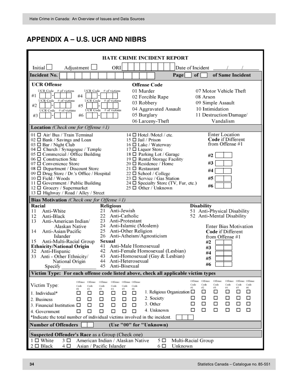| HATE CRIME INCIDENT REPORT                                                                                                                                                                                                                                                                                                                                                                                                                                                     |                                                                                                             |                                                                                               |                                                                                                                                                                                                                                                                                                                        |     |                                                                                                               |                                                                                                                                                                              |
|--------------------------------------------------------------------------------------------------------------------------------------------------------------------------------------------------------------------------------------------------------------------------------------------------------------------------------------------------------------------------------------------------------------------------------------------------------------------------------|-------------------------------------------------------------------------------------------------------------|-----------------------------------------------------------------------------------------------|------------------------------------------------------------------------------------------------------------------------------------------------------------------------------------------------------------------------------------------------------------------------------------------------------------------------|-----|---------------------------------------------------------------------------------------------------------------|------------------------------------------------------------------------------------------------------------------------------------------------------------------------------|
| Initial<br>Adjustment                                                                                                                                                                                                                                                                                                                                                                                                                                                          | ORI                                                                                                         |                                                                                               |                                                                                                                                                                                                                                                                                                                        |     | Date of Incident                                                                                              |                                                                                                                                                                              |
| <b>Incident No.</b>                                                                                                                                                                                                                                                                                                                                                                                                                                                            |                                                                                                             |                                                                                               |                                                                                                                                                                                                                                                                                                                        |     | of <sub>1</sub><br>Page                                                                                       | of Same Incident                                                                                                                                                             |
| <b>UCR Offense</b>                                                                                                                                                                                                                                                                                                                                                                                                                                                             |                                                                                                             |                                                                                               | <b>Offense Code</b>                                                                                                                                                                                                                                                                                                    |     |                                                                                                               |                                                                                                                                                                              |
| UCR Code # of victims<br>#4<br>#1<br><b>UCR Code</b><br>$#$ of victims<br>UCR Code<br>#5<br>#2<br>UCR Code<br># of victims<br>UCR Code<br>#6<br>#3                                                                                                                                                                                                                                                                                                                             | UCR Code # of victims<br># of victims<br>$#$ of victims                                                     |                                                                                               | 01 Murder<br>02 Forcible Rape<br>03 Robbery<br>04 Aggravated Assault<br>05 Burglary<br>06 Larceny-Theft                                                                                                                                                                                                                |     | 08 Arson                                                                                                      | 07 Motor Vehicle Theft<br>09 Simple Assault<br>10 Intimidation<br>11 Destruction/Damage/<br>Vandalism                                                                        |
| <b>Location</b> (Check one for Offense $#1$ )                                                                                                                                                                                                                                                                                                                                                                                                                                  |                                                                                                             |                                                                                               |                                                                                                                                                                                                                                                                                                                        |     |                                                                                                               |                                                                                                                                                                              |
| 01 □ Air/ Bus / Train Terminal<br>$02 \Box$ Bank / Savings and Loan<br>03 $\Box$ Bar / Night Club<br>04 □ Church / Synagogue / Temple<br>05 $\Box$ Commercial / Office Building<br>$06 \Box$ Construction Site<br>$07 \Box$ Convenience Store<br>08 $\Box$ Department / Discount Store<br>09 □ Drug Store / Dr.'s Office / Hospital<br>$10 \Box$ Field / Woods<br>$11 \Box$ Government / Public Building<br>12 □ Grocery / Supermarket<br>13 □ Highway / Road / Alley / Street |                                                                                                             |                                                                                               | $14 \Box$ Hotel /Motel / etc.<br>15 □ Jail / Prison<br>$16 \Box$ Lake / Waterway<br>$17 \Box$ Liquor Store<br>18 □ Parking Lot / Garage<br>19 □ Rental Storage Facility<br>20 □ Residence / Home<br>$21 \Box$ Restaurant<br>$22 \Box$ School / College<br>$23 \Box$ Service / Gas Station<br>$25 \Box$ Other / Unknown |     | #2<br>#3<br>#4<br>#5<br>24 □ Specialty Store (TV, Fur, etc.)<br>#6                                            | <b>Enter Location</b><br><b>Code</b> if Different<br>from Offense #1                                                                                                         |
| <b>Bias Motivation</b> ( <i>Check one for Offense</i> $#1$ )                                                                                                                                                                                                                                                                                                                                                                                                                   |                                                                                                             |                                                                                               |                                                                                                                                                                                                                                                                                                                        |     |                                                                                                               |                                                                                                                                                                              |
| Racial<br>Anti-White<br>11<br>12<br>Anti-Black<br>Anti-American Indian/<br>13<br>Alaskan Native<br>14<br>Anti-Asian/Pacific<br>Islander<br>15<br>Anti-Multi-Racial Group<br><b>Ethnicity/National Origin</b><br>32<br>Anti-Hispanic<br>Anti - Other Ethnicity/<br>33<br>National Origin<br>Specify                                                                                                                                                                             | <b>Religious</b><br>Anti-Jewish<br>21<br>22<br>23<br>24<br>25<br>26<br>Sexual<br>41<br>42<br>43<br>44<br>45 | Anti-Catholic<br>Anti-Protestant<br>Anti-Other Religion<br>Anti-Heterosexual<br>Anti-Bisexual | Anti-Islamic (Moslem)<br>Anti-Atheism/Agnosticism<br>Anti-Male Homosexual<br>Anti-Female Homosexual (Lesbian)<br>Anti-Homosexual (Gay & Lesbian)                                                                                                                                                                       |     | <b>Disability</b><br>#2<br>#3<br>#4<br>#5<br>#6                                                               | 51 Anti-Physical Disability<br>52 Anti-Mental Disability<br><b>Enter Bias Motivation</b><br>Code if Different<br>from Offense #1                                             |
| Victim Type: For each offense code listed above, check all applicable victim types                                                                                                                                                                                                                                                                                                                                                                                             |                                                                                                             |                                                                                               |                                                                                                                                                                                                                                                                                                                        |     |                                                                                                               |                                                                                                                                                                              |
| Offense Offense<br>Victim Type:<br>Code<br>Code<br>#1<br>#2<br>1. Individual*<br>□<br>□<br>2. Business<br>□<br>□<br>3. Financial Institution $\Box$<br>□<br>п<br>П<br>4. Government<br>*Indicate the total number of individual victims involved in the incident.                                                                                                                                                                                                              | Offense<br>Code<br>Code<br>绉<br>84.<br>□<br>□<br>□<br>□<br>□<br>□<br>□<br>п                                 | Offense Offense Offense<br>Code<br>Code<br>#5<br>#6<br>□<br>□<br>□<br>□<br>□<br>□<br>П<br>П   | 2. Society<br>3. Other<br>4. Unknown                                                                                                                                                                                                                                                                                   |     | Offense Offense<br>Code<br>Code<br>62<br>#1<br>1. Religious Organization □<br>□<br>□<br>□<br>□<br>□<br>□<br>□ | Offense<br>Offense Offense Offense<br>Code<br>Code<br>Code<br>Code<br>i/3<br>#5<br>#6<br>84.<br>□<br>□<br>□<br>□<br>□<br>□<br>□<br>ப<br>□<br>□<br>□<br>□<br>□<br>□<br>□<br>□ |
| <b>Number of Offenders</b>                                                                                                                                                                                                                                                                                                                                                                                                                                                     |                                                                                                             |                                                                                               | (Use "00" for "Unknown)                                                                                                                                                                                                                                                                                                |     |                                                                                                               |                                                                                                                                                                              |
| Suspected Offender's Race as a Group (Check one)<br>$1 \Box$ White<br>American Indian / Alaskan Native<br>$5\square$<br>Multi-Racial Group<br>$3$ $\Box$                                                                                                                                                                                                                                                                                                                       |                                                                                                             |                                                                                               |                                                                                                                                                                                                                                                                                                                        |     |                                                                                                               |                                                                                                                                                                              |
| $2 \Box$ Black<br>4 □                                                                                                                                                                                                                                                                                                                                                                                                                                                          | Asian / Pacific Islander                                                                                    |                                                                                               |                                                                                                                                                                                                                                                                                                                        | 6 □ | Unknown                                                                                                       |                                                                                                                                                                              |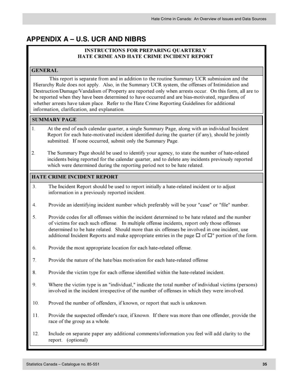#### **INSTRUCTIONS FOR PREPARING OUARTERLY** HATE CRIME AND HATE CRIME INCIDENT REPORT

#### **GENERAL**

This report is separate from and in addition to the routine Summary UCR submission and the Hierarchy Rule does not apply. Also, in the Summary UCR system, the offenses of Intimidation and Destruction/Damage/Vandalism of Property are reported only when arrests occur. On this form, all are to be reported when they have been determined to have occurred and are bias-motivated, regardless of whether arrests have taken place. Refer to the Hate Crime Reporting Guidelines for additional information, clarification, and explanation.

#### **SUMMARY PAGE**

- $\mathbf{1}$ At the end of each calendar quarter, a single Summary Page, along with an individual Incident Report for each hate-motivated incident identified during the quarter (if any), should be jointly submitted. If none occurred, submit only the Summary Page.
- $\overline{2}$ . The Summary Page should be used to identify your agency, to state the number of hate-related incidents being reported for the calendar quarter, and to delete any incidents previously reported which were determined during the reporting period not to be hate related.

#### **HATE CRIME INCIDENT REPORT**

- 3. The Incident Report should be used to report initially a hate-related incident or to adjust information in a previously reported incident.
- 4. Provide an identifying incident number which preferably will be your "case" or "file" number.
- 5. Provide codes for all offenses within the incident determined to be hate related and the number of victims for each such offense. In multiple offense incidents, report only those offenses determined to be hate related. Should more than six offenses be involved in one incident, use additional Incident Reports and make appropriate entries in the page  $\Box$  of  $\Box$ " portion of the form.
- 6. Provide the most appropriate location for each hate-related offense.
- 7. Provide the nature of the hate/bias motivation for each hate-related offense
- 8. Provide the victim type for each offense identified within the hate-related incident.
- 9 Where the victim type is an "individual," indicate the total number of individual victims (persons) involved in the incident irrespective of the number of offenses in which they were involved.
- 10. Proved the number of offenders, if known, or report that such is unknown.
- 11. Provide the suspected offender's race, if known. If there was more than one offender, provide the race of the group as a whole.
- Include on separate paper any additional comments/information you feel will add clarity to the 12. report. (optional)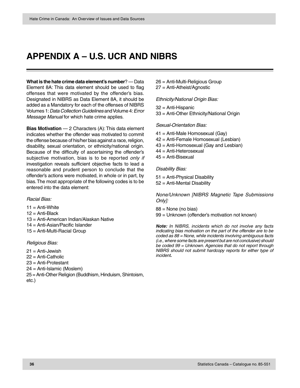**What is the hate crime data element's number**? — Data Element 8A: This data element should be used to flag offenses that were motivated by the offender's bias. Designated in NIBRS as Data Element 8A, it should be added as a Mandatory for each of the offenses of NIBRS Volumes 1: Data Collection Guidelines and Volume 4: Error Message Manual for which hate crime applies.

**Bias Motivation** — 2 Characters (A): This data element indicates whether the offender was motivated to commit the offense because of his/her bias against a race, religion, disability, sexual orientation, or ethnicity/national origin. Because of the difficulty of ascertaining the offender's subjective motivation, bias is to be reported only if investigation reveals sufficient objective facts to lead a reasonable and prudent person to conclude that the offender's actions were motivated, in whole or in part, by bias. The most appropriate of the following codes is to be entered into the data element:

#### Racial Bias:

- $11 =$  Anti-White 12 = Anti-Black 13 = Anti-American Indian/Alaskan Native 14 = Anti-Asian/Pacific Islander
- 15 = Anti-Multi-Racial Group

#### Religious Bias:

- 21 = Anti-Jewish
- 22 = Anti-Catholic
- 23 = Anti-Protestant
- 24 = Anti-Islamic (Moslem)
- 25 = Anti-Other Religion (Buddhism, Hinduism, Shintoism, etc.)
- 26 = Anti-Multi-Religious Group
- 27 = Anti-Atheist/Agnostic

Ethnicity/National Origin Bias:

32 = Anti-Hispanic

33 = Anti-Other Ethnicity/National Origin

Sexual-Orientation Bias:

- 41 = Anti-Male Homosexual (Gay)
- 42 = Anti-Female Homosexual (Lesbian)
- 43 = Anti-Homosexual (Gay and Lesbian)
- 44 = Anti-Heterosexual
- 45 = Anti-Bisexual

Disability Bias:

- 51 = Anti-Physical Disability
- 52 = Anti-Mental Disability

None/Unknown [NIBRS Magnetic Tape Submissions Only]:

 $88$  = None (no bias) 99 = Unknown (offender's motivation not known)

**Note:** In NIBRS, incidents which do not involve any facts indicating bias motivation on the part of the offender are to be coded as 88 = None, while incidents involving ambiguous facts (i.e., where some facts are present but are not conclusive) should be coded 99 = Unknown. Agencies that do not report through NIBRS should not submit hardcopy reports for either type of incident**.**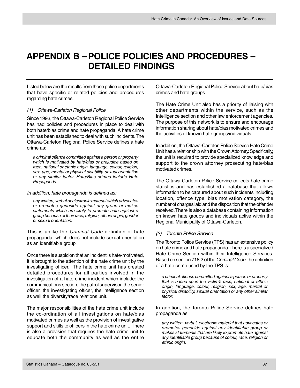### <span id="page-38-0"></span>**APPENDIX B –POLICE POLICIES AND PROCEDURES – DETAILED FINDINGS**

Listed below are the results from those police departments that have specific or related policies and procedures regarding hate crimes.

#### (1) Ottawa-Carleton Regional Police

Since 1993, the Ottawa-Carleton Regional Police Service has had policies and procedures in place to deal with both hate/bias crime and hate propaganda. A hate crime unit has been established to deal with such incidents. The Ottawa-Carleton Regional Police Service defines a hate crime as:

a criminal offence committed against a person or property which is motivated by hate/bias or prejudice based on race, national or ethnic origin, language, colour, religion, sex, age, mental or physical disability, sexual orientation or any similar factor. Hate/Bias crimes include Hate Propaganda.

#### In addition, hate propaganda is defined as:

any written, verbal or electronic material which advocates or promotes genocide against any group or makes statements which are likely to promote hate against a group because of their race, religion, ethnic origin, gender or sexual orientation.

This is unlike the *Criminal Code* definition of hate propaganda, which does not include sexual orientation as an identifiable group.

Once there is suspicion that an incident is hate-motivated, it is brought to the attention of the hate crime unit by the investigating officer. The hate crime unit has created detailed procedures for all parties involved in the investigation of a hate crime incident which include: the communications section, the patrol supervisor, the senior officer, the investigating officer, the intelligence section as well the diversity/race relations unit.

The major responsibilities of the hate crime unit include the co-ordination of all investigations on hate/bias motivated crimes as well as the provision of investigative support and skills to officers in the hate crime unit. There is also a provision that requires the hate crime unit to educate both the community as well as the entire

Ottawa-Carleton Regional Police Service about hate/bias crimes and hate groups.

The Hate Crime Unit also has a priority of liaising with other departments within the service, such as the Intelligence section and other law enforcement agencies. The purpose of this network is to ensure and encourage information sharing about hate/bias motivated crimes and the activities of known hate groups/individuals.

In addition, the Ottawa-Carleton Police Service Hate Crime Unit has a relationship with the Crown Attorney. Specifically, the unit is required to provide specialized knowledge and support to the crown attorney prosecuting hate/bias motivated crimes.

The Ottawa-Carleton Police Service collects hate crime statistics and has established a database that allows information to be captured about such incidents including location, offence type, bias motivation category, the number of charges laid and the disposition that the offender received. There is also a database containing information on known hate groups and individuals active within the Regional Municipality of Ottawa-Carleton.

#### (2) Toronto Police Service

The Toronto Police Service (TPS) has an extensive policy on hate crime and hate propaganda. There is a specialized Hate Crime Section within their Intelligence Services. Based on section 718.2 of the Criminal Code, the definition of a hate crime used by the TPS is:

a criminal offence committed against a person or property that is based upon the victim's race, national or ethnic origin, language, colour, religion, sex, age, mental or physical disability, sexual orientation or any other similar factor.

In addition, the Toronto Police Service defines hate propaganda as

any written, verbal, electronic material that advocates or promotes genocide against any identifiable group or makes statements that are likely to promote hate against any identifiable group because of colour, race, religion or ethnic origin.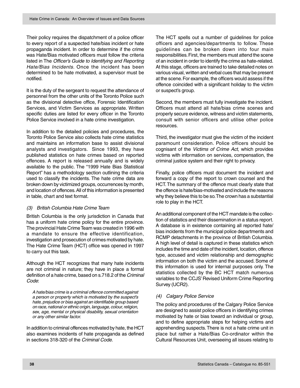Their policy requires the dispatchment of a police officer to every report of a suspected hate/bias incident or hate propaganda incident. In order to determine if the crime was Hate/Bias motivated officers must follow the criteria listed in The Officer's Guide to Identifying and Reporting Hate/Bias Incidents. Once the incident has been determined to be hate motivated, a supervisor must be notified.

It is the duty of the sergeant to request the attendance of personnel from the other units of the Toronto Police such as the divisional detective office, Forensic Identification Services, and Victim Services as appropriate. Written specific duties are listed for every officer in the Toronto Police Service involved in a hate crime investigation.

In addition to the detailed policies and procedures, the Toronto Police Service also collects hate crime statistics and maintains an information base to assist divisional analysts and investigators. Since 1993, they have published statistics on hate crimes based on reported offences. A report is released annually and is widely available to the public. The "1999 Hate Bias Statistical Report" has a methodology section outlining the criteria used to classify the incidents. The hate crime data are broken down by victimized groups, occurrences by month, and location of offences. All of this information is presented in table, chart and text format.

#### (3) British Columbia Hate Crime Team

British Columbia is the only jurisdiction in Canada that has a uniform hate crime policy for the entire province. The provincial Hate Crime Team was created in 1996 with a mandate to ensure the effective identification, investigation and prosecution of crimes motivated by hate. The Hate Crime Team (HCT) office was opened in 1997 to carry out this task.

Although the HCT recognizes that many hate incidents are not criminal in nature; they have in place a formal definition of a hate crime, based on s.718.2 of the Criminal Code:

A hate/bias crime is a criminal offence committed against a person or property which is motivated by the suspect's hate, prejudice or bias against an identifiable group based on race, national or ethnic origin, language, colour, religion, sex, age, mental or physical disability, sexual orientation or any other similar factor.

In addition to criminal offences motivated by hate, the HCT also examines incidents of hate propaganda as defined in sections 318-320 of the Criminal Code.

The HCT spells out a number of guidelines for police officers and agencies/departments to follow. These guidelines can be broken down into four main responsibilities. First, the members must attend the scene of an incident in order to identify the crime as hate-related. At this stage, officers are trained to take detailed notes on various visual, written and verbal cues that may be present at the scene. For example, the officers would assess if the offence coincided with a significant holiday to the victim or suspect's group.

Second, the members must fully investigate the incident. Officers must attend all hate/bias crime scenes and properly secure evidence, witness and victim statements, consult with senior officers and utilise other police resources.

Third, the investigator must give the victim of the incident paramount consideration. Police officers should be cognisant of the Victims of Crime Act, which provides victims with information on services, compensation, the criminal justice system and their right to privacy.

Finally, police officers must document the incident and forward a copy of the report to crown counsel and the HCT. The summary of the offence must clearly state that the offence is hate/bias-motivated and include the reasons why they believe this to be so. The crown has a substantial role to play in the HCT.

An additional component of the HCT mandate is the collection of statistics and their dissemination in a status report. A database is in existence containing all reported hate/ bias incidents from the municipal police departments and RCMP detachments in the province of British Columbia. A high level of detail is captured in these statistics which includes the time and date of the incident, location, offence type, accused and victim relationship and demographic information on both the victim and the accused. Some of this information is used for internal purposes only. The statistics collected by the BC HCT match numerous variables to the CCJS' Revised Uniform Crime Reporting Survey (UCR2).

#### (4) Calgary Police Service

The policy and procedures of the Calgary Police Service are designed to assist police officers in identifying crimes motivated by hate or bias toward an individual or group, and to define appropriate steps for helping victims and apprehending suspects. There is not a hate crime unit in place but rather a Hate/Bias Co-ordinator within the Cultural Resources Unit, overseeing all issues relating to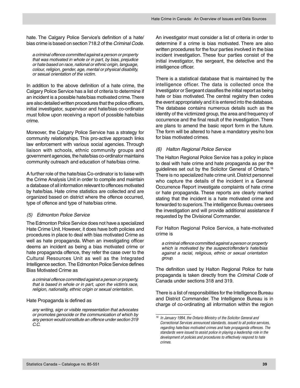hate. The Calgary Police Service's definition of a hate/ bias crime is based on section 718.2 of the Criminal Code.

a criminal offence committed against a person or property that was motivated in whole or in part, by bias, prejudice or hate based on race, national or ethnic origin, language, colour, religion, gender, age, mental or physical disability, or sexual orientation of the victim.

In addition to the above definition of a hate crime, the Calgary Police Service has a list of criteria to determine if an incident is a possible hate/bias motivated crime. There are also detailed written procedures that the police officers, initial investigator, supervisor and hate/bias co-ordinator must follow upon receiving a report of possible hate/bias crime.

Moreover, the Calgary Police Service has a strategy for community relationships. This pro-active approach links law enforcement with various social agencies. Through liaison with schools, ethnic community groups and government agencies, the hate/bias co-ordinator maintains community outreach and education of hate/bias crime.

A further role of the hate/bias Co-ordinator is to liaise with the Crime Analysis Unit in order to compile and maintain a database of all information relevant to offences motivated by hate/bias. Hate crime statistics are collected and are organized based on district where the offence occurred, type of offence and type of hate/bias crime.

#### (5) Edmonton Police Service

The Edmonton Police Service does not have a specialized Hate Crime Unit. However, it does have both policies and procedures in place to deal with bias motivated Crime as well as hate propaganda. When an investigating officer deems an incident as being a bias motivated crime or hate propaganda offence, they refer the case over to the Cultural Resources Unit as well as the Integrated Intelligence section. The Edmonton Police Service defines Bias Motivated Crime as

a criminal offence committed against a person or property, that is based in whole or in part, upon the victim's race, religion, nationality, ethnic origin or sexual orientation.

Hate Propaganda is defined as

any writing, sign or visible representation that advocates or promotes genocide or the communication of which by any person would constitute an offence under section 319 C.C.

An investigator must consider a list of criteria in order to determine if a crime is bias motivated. There are also written procedures for the four parties involved in the bias incident investigation. These four parties consist of the initial investigator, the sergeant, the detective and the intelligence officer.

There is a statistical database that is maintained by the intelligence officer. The data is collected once the Investigator or Sergeant classifies the initial report as being hate or bias motivated. The central registry then codes the event appropriately and it is entered into the database. The database contains numerous details such as the identity of the victimized group, the area and frequency of occurrence and the final result of the investigation. There are plans to amend the basic report form in the future. The form will be altered to have a mandatory yes/no box for bias motivated crimes.

#### (6) Halton Regional Police Service

The Halton Regional Police Service has a policy in place to deal with hate crime and hate propaganda as per the guidelines set out by the Solicitor General of Ontario.16 There is no specialized hate crime unit. District personnel who capture the details of the incident in a General Occurrence Report investigate complaints of hate crime or hate propaganda. These reports are clearly marked stating that the incident is a hate motivated crime and forwarded to superiors. The intelligence Bureau oversees the investigation and will provide additional assistance if requested by the Divisional Commander.

For Halton Regional Police Service, a hate-motivated crime is

a criminal offence committed against a person or property which is motivated by the suspect/offender's hate/bias against a racial, religious, ethnic or sexual orientation group.

The definition used by Halton Regional Police for hate propaganda is taken directly from the Criminal Code of Canada under sections 318 and 319.

There is a list of responsibilities for the Intelligence Bureau and District Commander. The Intelligence Bureau is in charge of co-ordinating all information within the region

<sup>16</sup> In January 1994, the Ontario Ministry of the Solicitor General and Correctional Services announced standards, issued to all police services, regarding hate/bias motivated crimes and hate propaganda offences. The standards were issued to assist police in playing a leadership role in the development of policies and procedures to effectively respond to hate crimes.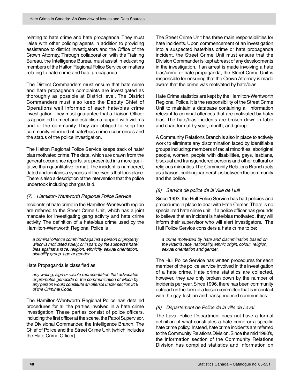relating to hate crime and hate propaganda. They must liaise with other policing agents in addition to providing assistance to district investigators and the Office of the Crown Attorney. Through collaboration with the Training Bureau, the Intelligence Bureau must assist in educating members of the Halton Regional Police Service on matters relating to hate crime and hate propaganda.

The District Commanders must ensure that hate crime and hate propaganda complaints are investigated as thoroughly as possible at District level. The District Commanders must also keep the Deputy Chief of Operations well informed of each hate/bias crime investigation They must guarantee that a Liaison Officer is appointed to meet and establish a rapport with victims and or the community. They are obliged to keep the community informed of hate/bias crime occurrences and the status of the police investigation.

The Halton Regional Police Service keeps track of hate/ bias motivated crime. The data, which are drawn from the general occurrence reports, are presented in a more qualitative than quantitative format. The incident is numbered, dated and contains a synopsis of the events that took place. There is also a description of the intervention that the police undertook including charges laid.

#### (7) Hamilton-Wentworth Regional Police Service

Incidents of hate crime in the Hamilton-Wentworth region are referred to the Street Crime Unit, which has a joint mandate for investigating gang activity and hate crime activity. The definition of a hate/bias crime used by the Hamilton-Wentworth Regional Police is

a criminal offence committed against a person or property which is motivated solely, or in part, by the suspect's hate/ bias against a race, religion, ethnicity, sexual orientation, disability group, age or gender.

Hate Propaganda is classified as

any writing, sign or visible representation that advocates or promotes genocide or the communication of which by any person would constitute an offence under section 319 of the Criminal Code.

The Hamilton-Wentworth Regional Police has detailed procedures for all the parties involved in a hate crime investigation. These parties consist of police officers, including the first officer at the scene, the Patrol Supervisor, the Divisional Commander, the Intelligence Branch, The Chief of Police and the Street Crime Unit (which includes the Hate Crime Officer).

The Street Crime Unit has three main responsibilities for hate incidents. Upon commencement of an investigation into a suspected hate/bias crime or hate propaganda incident, the Street Crime Unit must ensure that the Division Commander is kept abreast of any developments in the investigation. If an arrest is made involving a hate bias/crime or hate propaganda, the Street Crime Unit is responsible for ensuring that the Crown Attorney is made aware that the crime was motivated by hate/bias.

Hate Crime statistics are kept by the Hamilton-Wentworth Regional Police. It is the responsibility of the Street Crime Unit to maintain a database containing all information relevant to criminal offences that are motivated by hate/ bias. The hate/bias incidents are broken down in table and chart format by year, month, and group.

A Community Relations Branch is also in place to actively work to eliminate any discrimination faced by identifiable groups including: members of racial minorities, aboriginal people, women, people with disabilities, gays, lesbians, bisexual and transgendered persons and other cultural or religious minorities. The Community Relations Branch acts as a liaison, building partnerships between the community and the police.

#### (8) Service de police de la Ville de Hull

Since 1993, the Hull Police Service has had policies and procedures in place to deal with Hate Crimes. There is no specialized hate crime unit. If a police officer has grounds to believe that an incident is hate/bias motivated, they will inform their supervisor who will alert investigators. The Hull Police Service considers a hate crime to be:

a crime motivated by hate and discrimination based on the victim's race, nationality, ethnic origin, colour, religion, sexual orientation and gender.

The Hull Police Service has written procedures for each member of the police service involved in the investigation of a hate crime. Hate crime statistics are collected, however, they are only broken down by the number of incidents per year. Since 1996, there has been community outreach in the form of a liaison committee that is in contact with the gay, lesbian and transgendered communities.

#### (9) Département de Police de la ville de Laval

The Laval Police Department does not have a formal definition of what constitutes a hate crime or a specific hate crime policy. Instead, hate crime incidents are referred to the Community Relations Division. Since the mid 1980's, the information section of the Community Relations Division has compiled statistics and information on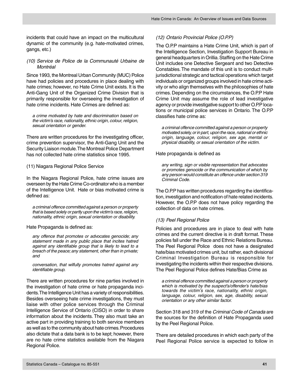incidents that could have an impact on the multicultural dynamic of the community (e.g. hate-motivated crimes, gangs, etc.)

#### (10) Service de Police de la Communauté Urbaine de Montréal

Since 1993, the Montreal Urban Community (MUC) Police have had policies and procedures in place dealing with hate crimes; however, no Hate Crime Unit exists. It is the Anti-Gang Unit of the Organized Crime Division that is primarily responsible for overseeing the investigation of hate crime incidents. Hate Crimes are defined as:

a crime motivated by hate and discrimination based on the victim's race, nationality, ethnic origin, colour, religion, sexual orientation or gender.

There are written procedures for the investigating officer, crime prevention supervisor, the Anti-Gang Unit and the Security Liaison module. The Montreal Police Department has not collected hate crime statistics since 1995.

#### (11) Niagara Regional Police Service

In the Niagara Regional Police, hate crime issues are overseen by the Hate Crime Co-ordinator who is a member of the Intelligence Unit. Hate or bias motivated crime is defined as:

a criminal offence committed against a person or property that is based solely or partly upon the victim's race, religion, nationality, ethnic origin, sexual orientation or disability.

#### Hate Propaganda is defined as:

any offence that promotes or advocates genocide; any statement made in any public place that incites hatred against any identifiable group that is likely to lead to a breach of the peace; any statement, other than in private; and

conversation, that wilfully promotes hatred against any identifiable group.

There are written procedures for nine parties involved in the investigation of hate crime or hate propaganda incidents. The Intelligence Unit has a variety of responsibilities. Besides overseeing hate crime investigations, they must liaise with other police services through the Criminal Intelligence Service of Ontario (CISO) in order to share information about the incidents. They also must take an active part in providing training to both service members as well as to the community about hate crimes. Procedures also dictate that a data bank is to be kept; however, there are no hate crime statistics available from the Niagara Regional Police.

#### (12) Ontario Provincial Police (O.P.P)

The O.P.P maintains a Hate Crime Unit, which is part of the Intelligence Section, Investigation Support Bureau in general headquarters in Orillia. Staffing on the Hate Crime Unit includes one Detective Sergeant and two Detective Constables. The mandate of this unit is to conduct multijurisdictional strategic and tactical operations which target individuals or organized groups involved in hate crime activity or who align themselves with the philosophies of hate crimes. Depending on the circumstances, the O.P.P Hate Crime Unit may assume the role of lead investigative agency or provide investigative support to other O.P.P locations or municipal police services in Ontario. The O.P.P classifies hate crime as:

a criminal offence committed against a person or property motivated solely, or in part, upon the race, national or ethnic origin, language, colour, religion, sex age, mental or physical disability, or sexual orientation of the victim.

Hate propaganda is defined as

any writing, sign or visible representation that advocates or promotes genocide or the communication of which by any person would constitute an offence under section 319 Criminal Code.

The O.P.P has written procedures regarding the identification, investigation and notification of hate related incidents. However, the O.P.P does not have policy regarding the collection of data on hate crimes.

#### (13) Peel Regional Police

Policies and procedures are in place to deal with hate crimes and the current directive is in draft format. These policies fall under the Race and Ethnic Relations Bureau. The Peel Regional Police does not have a designated hate/bias motivated crimes unit, but rather, each divisional Criminal Investigation Bureau is responsible for investigating the incidents within their respective divisions. The Peel Regional Police defines Hate/Bias Crime as

a criminal offence committed against a person or property which is motivated by the suspect's/offender's hate/bias towards the victim's race, nationality, ethnic origin, language, colour, religion, sex, age, disability, sexual orientation or any other similar factor.

Section 318 and 319 of the Criminal Code of Canada are the sources for the definition of Hate Propaganda used by the Peel Regional Police.

There are detailed procedures in which each party of the Peel Regional Police service is expected to follow in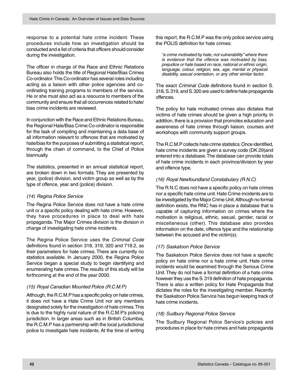response to a potential hate crime incident. These procedures include how an investigation should be conducted and a list of criteria that officers should consider during the investigation.

The officer in charge of the Race and Ethnic Relations Bureau also holds the title of Regional Hate/Bias Crimes Co-ordinator. This Co-ordinator has several roles including acting as a liaison with other police agencies and coordinating training programs to members of the service. He or she must also act as a resource to members of the community and ensure that all occurrences related to hate/ bias crime incidents are reviewed.

In conjunction with the Race and Ethnic Relations Bureau, the Regional Hate/Bias Crime Co-ordinator is responsible for the task of compiling and maintaining a data base of all information relevant to offences that are motivated by hate/bias for the purposes of submitting a statistical report, through the chain of command, to the Chief of Police biannually.

The statistics, presented in an annual statistical report, are broken down in two formats. They are presented by year, (police) division, and victim group as well as by the type of offence, year and (police) division.

#### (14) Regina Police Service

The Regina Police Service does not have a hate crime unit or a specific policy dealing with hate crime. However, they have procedures in place to deal with hate propaganda. The Major Crimes division is the division in charge of investigating hate crime incidents.

The Regina Police Service uses the Criminal Code definitions found in section 318, 319, 320 and 718.2, as their parameters for hate crimes. There are currently no statistics available. In January 2000, the Regina Police Service began a special study to begin identifying and enumerating hate crimes. The results of this study will be forthcoming at the end of the year 2000.

#### (15) Royal Canadian Mounted Police (R.C.M.P)

Although, the R.C.M.P has a specific policy on hate crimes, it does not have a Hate Crime Unit nor any members designated solely for the investigation of hate crimes. This is due to the highly rural nature of the R.C.M.P's policing jurisdiction. In larger areas such as in British Columbia, the R.C.M.P has a partnership with the local jurisdictional police to investigate hate incidents. At the time of writing

this report, the R.C.M.P was the only police service using the POLIS definition for hate crimes:

"a crime motivated by hate, not vulnerability" where there is evidence that the offence was motivated by bias, prejudice or hate based on race, national or ethnic origin, language, colour, religion, sex, age, mental or physical disability, sexual orientation, or any other similar factor.

The exact Criminal Code definitions found in section S. 318, S. 319, and S. 320 are used to define hate propaganda offences.

The policy for hate motivated crimes also dictates that victims of hate crimes should be given a high priority. In addition, there is a provision that promotes education and awareness of hate crimes through liaison, courses and workshops with community support groups.

The R.C.M.P collects hate crime statistics. Once identified, hate crime incidents are given a survey code (DK 29)and entered into a database. The database can provide totals of hate crime incidents in each province/division by year and offence type.

#### (16) Royal Newfoundland Constabulary (R.N.C)

The R.N.C does not have a specific policy on hate crimes nor a specific hate crime unit. Hate Crime incidents are to be investigated by the Major Crime Unit. Although no formal definition exists, the RNC has in place a database that is capable of capturing information on crimes where the motivation is religious, ethnic, sexual, gender, racial or miscellaneous (other). This database also provides information on the date, offence type and the relationship between the accused and the victim(s).

#### (17) Saskatoon Police Service

The Saskatoon Police Service does not have a specific policy on hate crime nor a hate crime unit. Hate crime incidents would be examined through the Serious Crime Unit. They do not have a formal definition of a hate crime however they use the S. 319 definition of hate propaganda. There is also a written policy for Hate Propaganda that dictates the roles for the investigating member. Recently the Saskatoon Police Service has begun keeping track of hate crime incidents.

#### (18) Sudbury Regional Police Service

The Sudbury Regional Police Service's policies and procedures in place for hate crimes and hate propaganda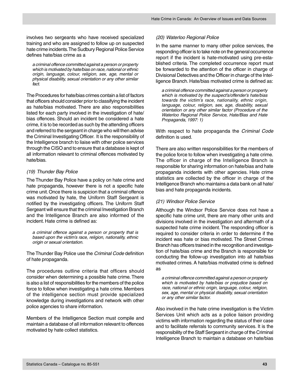involves two sergeants who have received specialized training and who are assigned to follow up on suspected hate crime incidents. The Sudbury Regional Police Service defines hate/bias crime as a

a criminal offence committed against a person or property which is motivated by hate/bias on race, national or ethnic origin, language, colour, religion, sex, age, mental or physical disability, sexual orientation or any other similar fact.

The Procedures for hate/bias crimes contain a list of factors that officers should consider prior to classifying the incident as hate/bias motivated. There are also responsibilities listed for each party involved in the investigation of hate/ bias offences. Should an incident be considered a hate crime, it is to be recorded as such by the attending officers and referred to the sergeant in charge who will then advise the Criminal Investigating Officer. It is the responsibility of the Intelligence branch to liaise with other police services through the CISO and to ensure that a database is kept of all information relevant to criminal offences motivated by hate/bias.

#### (19) Thunder Bay Police

The Thunder Bay Police have a policy on hate crime and hate propaganda, however there is not a specific hate crime unit. Once there is suspicion that a criminal offence was motivated by hate, the Uniform Staff Sergeant is notified by the investigating officers. The Uniform Staff Sergeant will ensure that the criminal Investigation Branch and the Intelligence Branch are also informed of the incident. Hate crime is defined as:

a criminal offence against a person or property that is based upon the victim's race, religion, nationality, ethnic origin or sexual orientation.

The Thunder Bay Police use the Criminal Code definition of hate propaganda.

The procedures outline criteria that officers should consider when determining a possible hate crime. There is also a list of responsibilities for the members of the police force to follow when investigating a hate crime. Members of the intelligence section must provide specialized knowledge during investigations and network with other police agencies to share information.

Members of the Intelligence Section must compile and maintain a database of all information relevant to offences motivated by hate collect statistics.

#### (20) Waterloo Regional Police

In the same manner to many other police services, the responding officer is to take note on the general occurrence report if the incident is hate-motivated using pre-established criteria. The completed occurrence report must be forwarded to the attention of the officer in charge of Divisional Detectives and the Officer in charge of the Intelligence Branch. Hate/bias motivated crime is defined as:

a criminal offence committed against a person or property which is motivated by the suspect's/offender's hate/bias towards the victim's race, nationality, ethnic origin, language, colour, religion, sex, age, disability, sexual orientation or any other similar factor (Procedure of the Waterloo Regional Police Service, Hate/Bias and Hate Propaganda, 1997: 1)

With respect to hate propaganda the Criminal Code definition is used.

There are also written responsibilities for the members of the police force to follow when investigating a hate crime. The officer in charge of the Intelligence Branch is responsible for sharing information on hate/bias and hate propaganda incidents with other agencies. Hate crime statistics are collected by the officer in charge of the Intelligence Branch who maintains a data bank on all hate/ bias and hate propaganda incidents.

#### (21) Windsor Police Service

Although the Windsor Police Service does not have a specific hate crime unit, there are many other units and divisions involved in the investigation and aftermath of a suspected hate crime incident. The responding officer is required to consider criteria in order to determine if the incident was hate or bias motivated. The Street Crimes Branch has officers trained in the recognition and investigation of hate/bias crime and the Branch is responsible for conducting the follow-up investigation into all hate/bias motivated crimes. A hate/bias motivated crime is defined as

a criminal offence committed against a person or property which is motivated by hate/bias or prejudice based on race, national or ethnic origin, language, colour, religion, sex, age, mental or physical disability, sexual orientation or any other similar factor.

Also involved in the hate crime investigation is the Victim Services Unit which acts as a police liaison providing victims with information regarding the status of their case and to facilitate referrals to community services. It is the responsibility of the Staff Sergeant in charge of the Criminal Intelligence Branch to maintain a database on hate/bias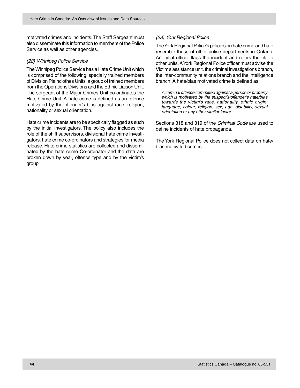motivated crimes and incidents. The Staff Sergeant must also disseminate this information to members of the Police Service as well as other agencies.

#### (22) Winnipeg Police Service

The Winnipeg Police Service has a Hate Crime Unit which is comprised of the following: specially trained members of Division Plainclothes Units, a group of trained members from the Operations Divisions and the Ethnic Liaison Unit. The sergeant of the Major Crimes Unit co-ordinates the Hate Crime Unit. A hate crime is defined as an offence motivated by the offender's bias against race, religion, nationality or sexual orientation.

Hate crime incidents are to be specifically flagged as such by the initial investigators. The policy also includes the role of the shift supervisors, divisional hate crime investigators, hate crime co-ordinators and strategies for media release. Hate crime statistics are collected and disseminated by the hate crime Co-ordinator and the data are broken down by year, offence type and by the victim's group.

#### (23) York Regional Police

The York Regional Police's policies on hate crime and hate resemble those of other police departments in Ontario. An initial officer flags the incident and refers the file to other units. A York Regional Police officer must advise the Victim's assistance unit, the criminal investigations branch, the inter-community relations branch and the intelligence branch. A hate/bias motivated crime is defined as:

A criminal offence committed against a person or property which is motivated by the suspect's/offender's hate/bias towards the victim's race, nationality, ethnic origin, language, colour, religion, sex, age, disability, sexual orientation or any other similar factor.

Sections 318 and 319 of the Criminal Code are used to define incidents of hate propaganda.

The York Regional Police does not collect data on hate/ bias motivated crimes.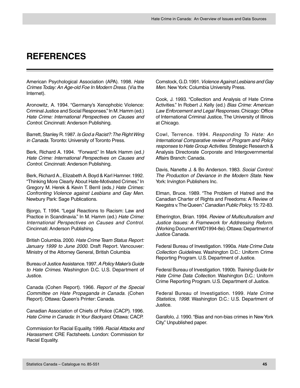### <span id="page-46-0"></span>**REFERENCES**

American Psychological Association (APA). 1998. Hate Crimes Today: An Age-old Foe In Modern Dress. (Via the Internet).

Aronowitz, A. 1994. "Germany's Xenophobic Violence: Criminal Justice and Social Responses." In M. Hamm (ed.) Hate Crime: International Perspectives on Causes and Control. Cincinnati: Anderson Publishing.

Barrett, Stanley R. 1987. Is God a Racist?: The Right Wing in Canada. Toronto: University of Toronto Press.

Berk, Richard A. 1994. "Forward." In Mark Hamm (ed.) Hate Crime: International Perspectives on Causes and Control. Cincinnati: Anderson Publishing.

Berk, Richard A., Elizabeth A. Boyd & Karl Hamner. 1992. "Thinking More Clearly About Hate-Motivated Crimes." In Gregory M. Herek & Kevin T. Berril (eds.) Hate Crimes: Confronting Violence against Lesbians and Gay Men. Newbury Park: Sage Publications.

Bjorgo, T. 1994. "Legal Reactions to Racism: Law and Practice in Scandinavia." In M. Hamm (ed.) Hate Crime: International Perspectives on Causes and Control. Cincinnati: Anderson Publishing.

British Columbia. 2000. Hate Crime Team Status Report: January 1999 to June 2000. Draft Report. Vancouver: Ministry of the Attorney General, British Columbia

Bureau of Justice Assistance. 1997. A Policy Maker's Guide to Hate Crimes. Washington D.C. U.S. Department of Justice.

Canada (Cohen Report). 1966. Report of the Special Committee on Hate Propaganda in Canada. (Cohen Report). Ottawa: Queen's Printer: Canada.

Canadian Association of Chiefs of Police (CACP). 1996. Hate Crime in Canada: In Your Backyard. Ottawa: CACP.

Commission for Racial Equality. 1999. Racial Attacks and Harassment. CRE Factsheets. London: Commission for Racial Equality.

Comstock, G.D. 1991. Violence Against Lesbians and Gay Men. New York: Columbia University Press.

Cook, J. 1993. "Collection and Analysis of Hate Crime Activities." In Robert J. Kelly (ed.) Bias Crime: American Law Enforcement and Legal Responses. Chicago: Office of International Criminal Justice, The University of Illinois at Chicago.

Cowl, Terrence. 1994. Responding To Hate: An International Comparative review of Program and Policy responses to Hate Group Activities. Strategic Research & Analysis Directorate Corporate and Intergovernmental Affairs Branch: Canada.

Davis, Nanette J. & Bo Anderson. 1983. Social Control: The Production of Deviance in the Modern State. New York: Irvington Publishers Inc.

Elman, Bruce. 1989. "The Problem of Hatred and the Canadian Charter of Rights and Freedoms: A Review of Keegstra v. The Queen." Canadian Public Policy. 15: 72-83.

Etherington, Brian. 1994. Review of Multiculturalism and Justice Issues: A Framework for Addressing Reform. (Working Document WD1994-8e). Ottawa: Department of Justice Canada.

Federal Bureau of Investigation. 1990a. Hate Crime Data Collection Guidelines. Washington D.C.: Uniform Crime Reporting Program. U.S. Department of Justice.

Federal Bureau of Investigation. 1990b. Training Guide for Hate Crime Data Collection. Washington D.C.: Uniform Crime Reporting Program. U.S. Department of Justice.

Federal Bureau of Investigation. 1999. Hate Crime Statistics, 1998. Washington D.C.: U.S. Department of Justice.

Garafolo, J. 1990. "Bias and non-bias crimes in New York City." Unpublished paper.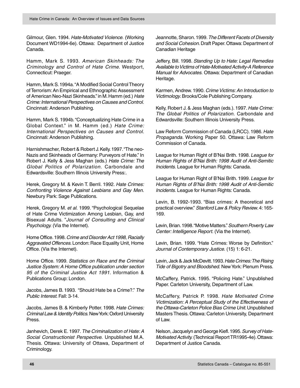Gilmour, Glen. 1994. Hate-Motivated Violence. (Working Document WD1994-6e). Ottawa: Department of Justice Canada.

Hamm, Mark S. 1993. American Skinheads: The Criminology and Control of Hate Crime. Westport, Connecticut: Praeger.

Hamm, Mark S. 1994a. "A Modified Social Control Theory of Terrorism: An Empirical and Ethnographic Assessment of American Neo-Nazi Skinheads." in M. Hamm (ed.) Hate Crime: International Perspectives on Causes and Control. Cincinnati: Anderson Publishing.

Hamm, Mark S. 1994b. "Conceptualizing Hate Crime in a Global Context." in M. Hamm (ed.) Hate Crime: International Perspectives on Causes and Control. Cincinnati: Anderson Publishing.

Harnishmacher, Robert & Robert J. Kelly. 1997. "The neo-Nazis and Skinheads of Germany: Purveyors of Hate." In Robert J. Kelly & Jess Maghan (eds.) Hate Crime: The Global Politics of Polarization. Carbondale and Edwardsville: Southern Illinois University Press:.

Herek, Gregory M. & Kevin T. Berril. 1992. Hate Crimes: Confronting Violence Against Lesbians and Gay Men. Newbury Park: Sage Publications.

Herek, Gregory M. et al. 1999. "Psychological Sequelae of Hate Crime Victimization Among Lesbian, Gay, and Bisexual Adults. "Journal of Consulting and Clinical Psychology. (Via the Internet).

Home Office. 1998. Crime and Disorder Act 1998, Racially Aggravated Offences. London: Race Equality Unit, Home Office. (Via the Internet).

Home Office. 1999. Statistics on Race and the Criminal Justice System: A Home Office publication under section 95 of the Criminal Justice Act 1991. Information & Publications Group: London.

Jacobs, James B. 1993. "Should Hate be a Crime?." The Public Interest. Fall: 3-14.

Jacobs, James B. & Kimberly Potter. 1998. Hate Crimes: Criminal Law & Identity Politics. New York: Oxford University Press.

Janhevich, Derek E. 1997. The Criminalization of Hate: A Social Constructionist Perspective. Unpublished M.A. Thesis. Ottawa: University of Ottawa, Department of Criminology.

Jeannotte, Sharon. 1999. The Different Facets of Diversity and Social Cohesion. Draft Paper. Ottawa: Department of Canadian Heritage

Jeffery, Bill. 1998. Standing Up to Hate: Legal Remedies Available to Victims of Hate-Motivated Activity-A Reference Manual for Advocates. Ottawa: Department of Canadian Heritage.

Karmen, Andrew. 1990. Crime Victims: An Introduction to Victimology. Brooks/Cole Publishing Company.

Kelly, Robert J. & Jess Maghan (eds.). 1997. Hate Crime: The Global Politics of Polarization. Carbondale and Edwardsville: Southern Illinois University Press.

Law Reform Commission of Canada (LRCC). 1986. Hate Propaganda. Working Paper 50. Ottawa: Law Reform Commission of Canada.

League for Human Right of B'Nai Brith. 1998. League for Human Rights of B'Nai Brith: 1998 Audit of Anti-Semitic Incidents. League for Human Rights: Canada.

League for Human Right of B'Nai Brith. 1999. League for Human Rights of B'Nai Brith: 1998 Audit of Anti-Semitic Incidents. League for Human Rights: Canada.

Levin, B. 1992-1993. "Bias crimes: A theoretical and practical overview." Stanford Law & Policy Review. 4: 165- 169.

Levin, Brian. 1998. "Motive Matters." Southern Poverty Law Center: Intelligence Report. (Via the Internet).

Levin, Brian. 1999. "Hate Crimes: Worse by Definition." Journal of Contemporary Justice. (15) 1: 6-21.

Levin, Jack & Jack McDevitt. 1993. Hate Crimes: The Rising Tide of Bigotry and Bloodshed. New York: Plenum Press.

McCaffery, Patrick. 1995. "Policing Hate." Unpublished Paper. Carleton University, Department of Law.

McCaffery, Patrick P. 1998. Hate Motivated Crime Victimization: A Perceptual Study of the Effectiveness of the Ottawa-Carleton Police Bias Crime Unit. Unpublished Masters Thesis. Ottawa: Carleton University, Department of Law.

Nelson, Jacquelyn and George Kiefl. 1995. Survey of Hate-Motivated Activity. (Technical Report TR1995-4e). Ottawa: Department of Justice Canada.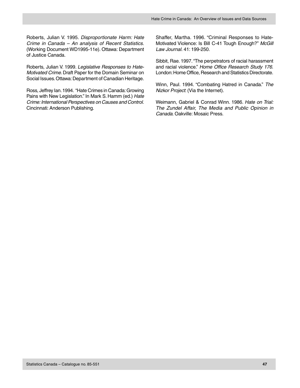Roberts, Julian V. 1995. Disproportionate Harm: Hate Crime in Canada – An analysis of Recent Statistics. (Working Document WD1995-11e). Ottawa: Department of Justice Canada.

Roberts, Julian V. 1999. Legislative Responses to Hate-Motivated Crime. Draft Paper for the Domain Seminar on Social Issues. Ottawa: Department of Canadian Heritage.

Ross, Jeffrey Ian. 1994. "Hate Crimes in Canada: Growing Pains with New Legislation." In Mark S. Hamm (ed.) Hate Crime: International Perspectives on Causes and Control. Cincinnati: Anderson Publishing.

Shaffer, Martha. 1996. "Criminal Responses to Hate-Motivated Violence: Is Bill C-41 Tough Enough?" McGill Law Journal. 41: 199-250.

Sibbit, Rae. 1997. "The perpetrators of racial harassment and racial violence." Home Office Research Study 176. London: Home Office, Research and Statistics Directorate.

Winn, Paul. 1994. "Combating Hatred in Canada." The Nizkor Project: (Via the Internet).

Weimann, Gabriel & Conrad Winn. 1986. Hate on Trial: The Zundel Affair, The Media and Public Opinion in Canada. Oakville: Mosaic Press.